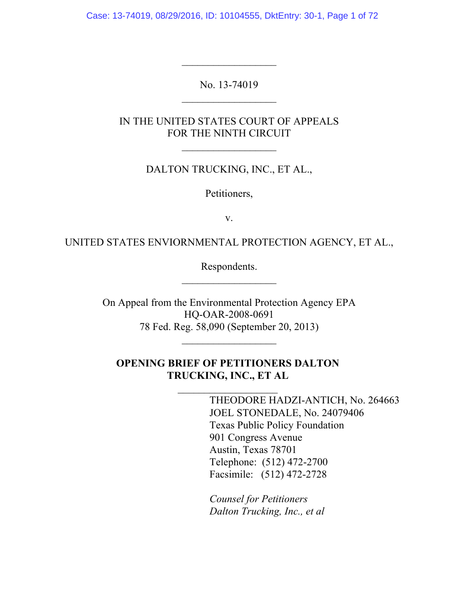Case: 13-74019, 08/29/2016, ID: 10104555, DktEntry: 30-1, Page 1 of 72

No. 13-74019  $\overline{\phantom{a}}$  , where  $\overline{\phantom{a}}$ 

 $\mathcal{L}_\text{max}$ 

IN THE UNITED STATES COURT OF APPEALS FOR THE NINTH CIRCUIT

 $\overline{\phantom{a}}$  , where  $\overline{\phantom{a}}$ 

DALTON TRUCKING, INC., ET AL.,

Petitioners,

v.

UNITED STATES ENVIORNMENTAL PROTECTION AGENCY, ET AL.,

Respondents.  $\overline{\phantom{a}}$  , where  $\overline{\phantom{a}}$ 

On Appeal from the Environmental Protection Agency EPA HQ-OAR-2008-0691 78 Fed. Reg. 58,090 (September 20, 2013)

 $\mathcal{L}_\text{max}$ 

## **OPENING BRIEF OF PETITIONERS DALTON TRUCKING, INC., ET AL**

THEODORE HADZI-ANTICH, No. 264663 JOEL STONEDALE, No. 24079406 Texas Public Policy Foundation 901 Congress Avenue Austin, Texas 78701 Telephone: (512) 472-2700 Facsimile: (512) 472-2728

*Counsel for Petitioners Dalton Trucking, Inc., et al*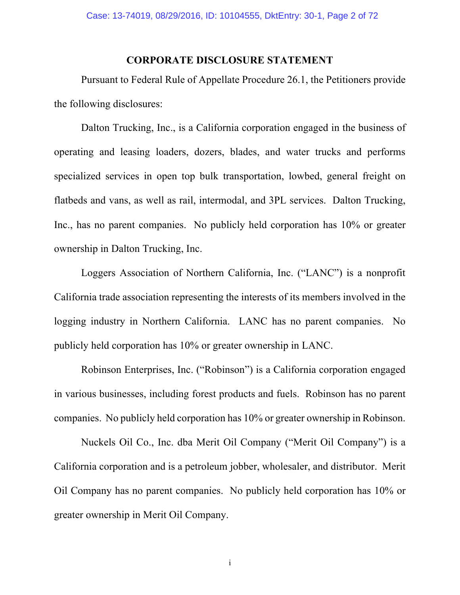### **CORPORATE DISCLOSURE STATEMENT**

Pursuant to Federal Rule of Appellate Procedure 26.1, the Petitioners provide the following disclosures:

Dalton Trucking, Inc., is a California corporation engaged in the business of operating and leasing loaders, dozers, blades, and water trucks and performs specialized services in open top bulk transportation, lowbed, general freight on flatbeds and vans, as well as rail, intermodal, and 3PL services. Dalton Trucking, Inc., has no parent companies. No publicly held corporation has 10% or greater ownership in Dalton Trucking, Inc.

Loggers Association of Northern California, Inc. ("LANC") is a nonprofit California trade association representing the interests of its members involved in the logging industry in Northern California. LANC has no parent companies. No publicly held corporation has 10% or greater ownership in LANC.

Robinson Enterprises, Inc. ("Robinson") is a California corporation engaged in various businesses, including forest products and fuels. Robinson has no parent companies. No publicly held corporation has 10% or greater ownership in Robinson.

Nuckels Oil Co., Inc. dba Merit Oil Company ("Merit Oil Company") is a California corporation and is a petroleum jobber, wholesaler, and distributor. Merit Oil Company has no parent companies. No publicly held corporation has 10% or greater ownership in Merit Oil Company.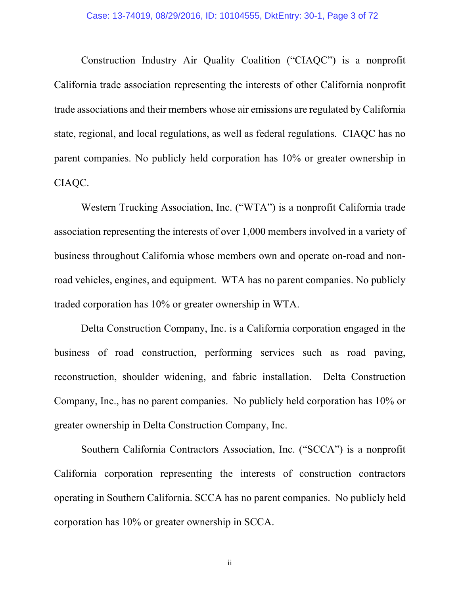Construction Industry Air Quality Coalition ("CIAQC") is a nonprofit California trade association representing the interests of other California nonprofit trade associations and their members whose air emissions are regulated by California state, regional, and local regulations, as well as federal regulations. CIAQC has no parent companies. No publicly held corporation has 10% or greater ownership in CIAQC.

Western Trucking Association, Inc. ("WTA") is a nonprofit California trade association representing the interests of over 1,000 members involved in a variety of business throughout California whose members own and operate on-road and nonroad vehicles, engines, and equipment. WTA has no parent companies. No publicly traded corporation has 10% or greater ownership in WTA.

Delta Construction Company, Inc. is a California corporation engaged in the business of road construction, performing services such as road paving, reconstruction, shoulder widening, and fabric installation. Delta Construction Company, Inc., has no parent companies. No publicly held corporation has 10% or greater ownership in Delta Construction Company, Inc.

Southern California Contractors Association, Inc. ("SCCA") is a nonprofit California corporation representing the interests of construction contractors operating in Southern California. SCCA has no parent companies. No publicly held corporation has 10% or greater ownership in SCCA.

ii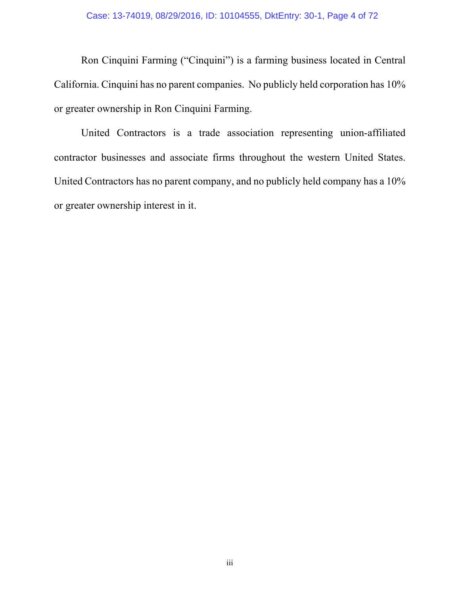Ron Cinquini Farming ("Cinquini") is a farming business located in Central California. Cinquini has no parent companies. No publicly held corporation has 10% or greater ownership in Ron Cinquini Farming.

United Contractors is a trade association representing union-affiliated contractor businesses and associate firms throughout the western United States. United Contractors has no parent company, and no publicly held company has a 10% or greater ownership interest in it.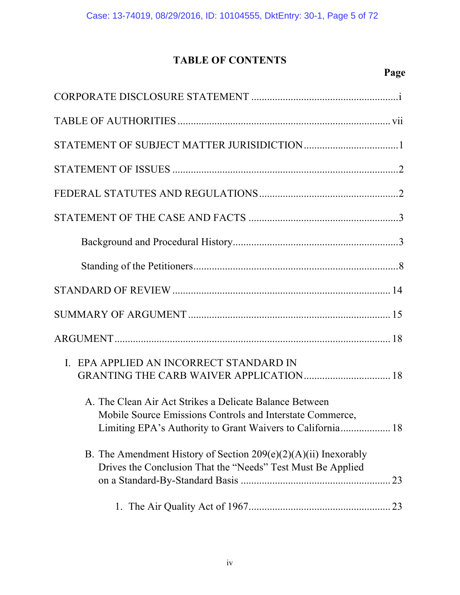# **TABLE OF CONTENTS**

# **Page**

| EPA APPLIED AN INCORRECT STANDARD IN<br>$\mathbf{I}$ .                                                                                                                             |
|------------------------------------------------------------------------------------------------------------------------------------------------------------------------------------|
| A. The Clean Air Act Strikes a Delicate Balance Between<br>Mobile Source Emissions Controls and Interstate Commerce,<br>Limiting EPA's Authority to Grant Waivers to California 18 |
| B. The Amendment History of Section $209(e)(2)(A)(ii)$ Inexorably<br>Drives the Conclusion That the "Needs" Test Must Be Applied                                                   |
|                                                                                                                                                                                    |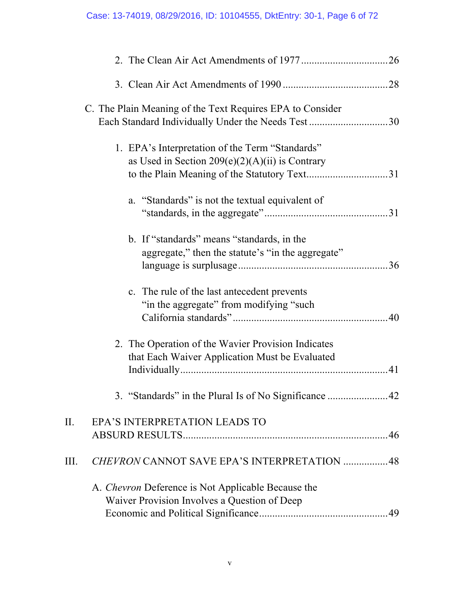|      | C. The Plain Meaning of the Text Requires EPA to Consider                                                                                               |    |
|------|---------------------------------------------------------------------------------------------------------------------------------------------------------|----|
|      | 1. EPA's Interpretation of the Term "Standards"<br>as Used in Section $209(e)(2)(A)(ii)$ is Contrary<br>a. "Standards" is not the textual equivalent of |    |
|      |                                                                                                                                                         |    |
|      | b. If "standards" means "standards, in the<br>aggregate," then the statute's "in the aggregate"                                                         |    |
|      | c. The rule of the last antecedent prevents<br>"in the aggregate" from modifying "such"                                                                 |    |
|      | 2. The Operation of the Wavier Provision Indicates<br>that Each Waiver Application Must be Evaluated                                                    | 41 |
|      |                                                                                                                                                         |    |
| П.   | EPA'S INTERPRETATION LEADS TO                                                                                                                           |    |
| III. | CHEVRON CANNOT SAVE EPA'S INTERPRETATION  48                                                                                                            |    |
|      | A. <i>Chevron</i> Deference is Not Applicable Because the<br>Waiver Provision Involves a Question of Deep                                               |    |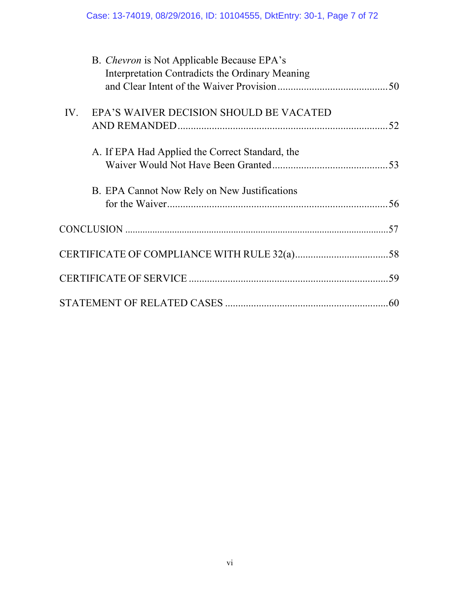|     | B. Chevron is Not Applicable Because EPA's<br>Interpretation Contradicts the Ordinary Meaning |     |
|-----|-----------------------------------------------------------------------------------------------|-----|
|     |                                                                                               |     |
| IV. | EPA'S WAIVER DECISION SHOULD BE VACATED                                                       | .52 |
|     |                                                                                               |     |
|     | A. If EPA Had Applied the Correct Standard, the                                               |     |
|     |                                                                                               |     |
|     | B. EPA Cannot Now Rely on New Justifications                                                  |     |
|     |                                                                                               |     |
|     |                                                                                               |     |
|     |                                                                                               |     |
|     |                                                                                               |     |
|     |                                                                                               | 60  |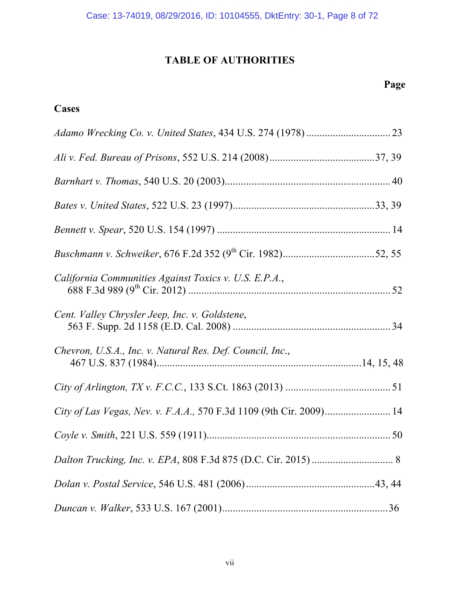# **TABLE OF AUTHORITIES**

# **Cases**

| California Communities Against Toxics v. U.S. E.P.A.,               |  |
|---------------------------------------------------------------------|--|
| Cent. Valley Chrysler Jeep, Inc. v. Goldstene,                      |  |
| Chevron, U.S.A., Inc. v. Natural Res. Def. Council, Inc.,           |  |
|                                                                     |  |
| City of Las Vegas, Nev. v. F.A.A., 570 F.3d 1109 (9th Cir. 2009) 14 |  |
|                                                                     |  |
|                                                                     |  |
|                                                                     |  |
|                                                                     |  |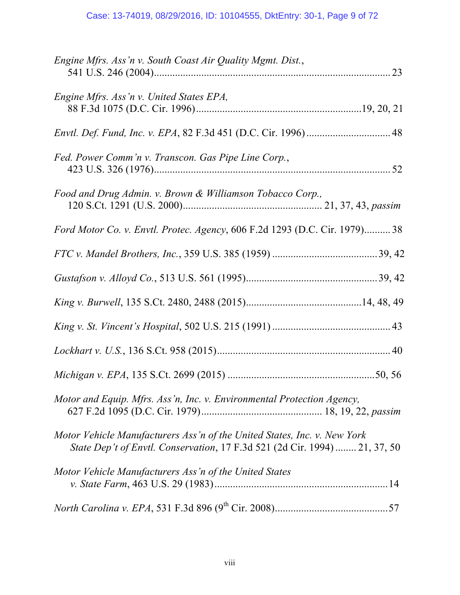| Engine Mfrs. Ass'n v. South Coast Air Quality Mgmt. Dist.,                                                                                             |
|--------------------------------------------------------------------------------------------------------------------------------------------------------|
| Engine Mfrs. Ass'n v. United States EPA,                                                                                                               |
|                                                                                                                                                        |
| Fed. Power Comm'n v. Transcon. Gas Pipe Line Corp.,                                                                                                    |
| Food and Drug Admin. v. Brown & Williamson Tobacco Corp.,                                                                                              |
| Ford Motor Co. v. Envtl. Protec. Agency, 606 F.2d 1293 (D.C. Cir. 1979) 38                                                                             |
|                                                                                                                                                        |
|                                                                                                                                                        |
|                                                                                                                                                        |
|                                                                                                                                                        |
|                                                                                                                                                        |
|                                                                                                                                                        |
| Motor and Equip. Mfrs. Ass'n, Inc. v. Environmental Protection Agency,                                                                                 |
| Motor Vehicle Manufacturers Ass'n of the United States, Inc. v. New York<br>State Dep't of Envtl. Conservation, 17 F.3d 521 (2d Cir. 1994)  21, 37, 50 |
| Motor Vehicle Manufacturers Ass'n of the United States                                                                                                 |
|                                                                                                                                                        |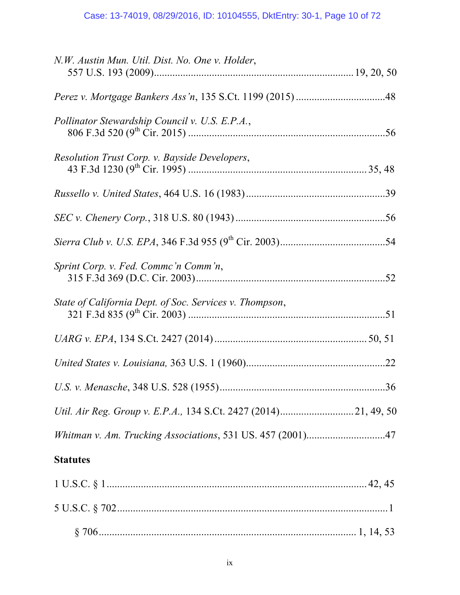| N.W. Austin Mun. Util. Dist. No. One v. Holder,                 |  |
|-----------------------------------------------------------------|--|
|                                                                 |  |
| Pollinator Stewardship Council v. U.S. E.P.A.,                  |  |
| Resolution Trust Corp. v. Bayside Developers,                   |  |
|                                                                 |  |
|                                                                 |  |
|                                                                 |  |
| Sprint Corp. v. Fed. Commc'n Comm'n,                            |  |
| State of California Dept. of Soc. Services v. Thompson,         |  |
|                                                                 |  |
|                                                                 |  |
|                                                                 |  |
| Util. Air Reg. Group v. E.P.A., 134 S.Ct. 2427 (2014)21, 49, 50 |  |
| Whitman v. Am. Trucking Associations, 531 US. 457 (2001)47      |  |
| <b>Statutes</b>                                                 |  |
|                                                                 |  |
|                                                                 |  |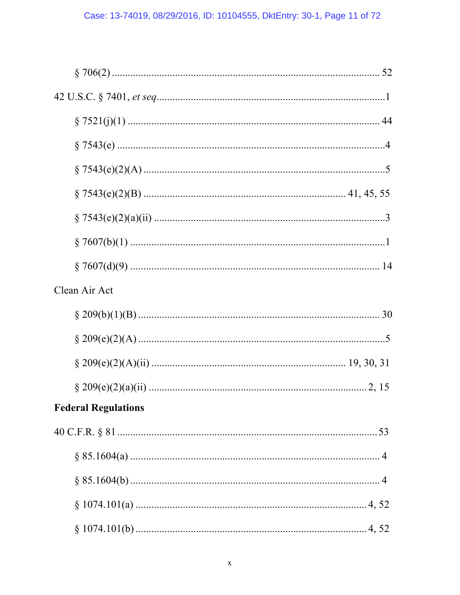| Clean Air Act              |  |
|----------------------------|--|
|                            |  |
|                            |  |
|                            |  |
|                            |  |
|                            |  |
| <b>Federal Regulations</b> |  |
|                            |  |
|                            |  |
|                            |  |
|                            |  |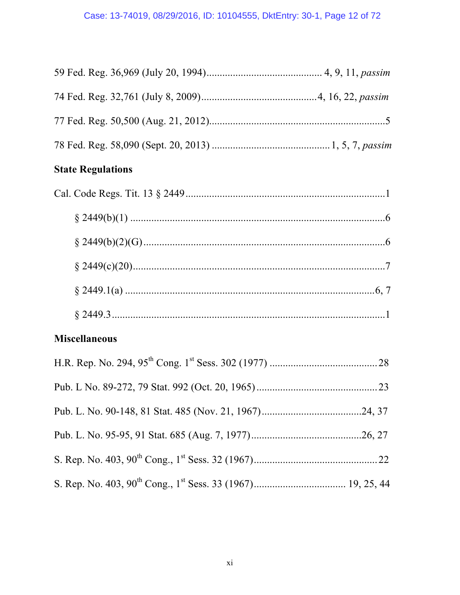# **State Regulations**

# **Miscellaneous**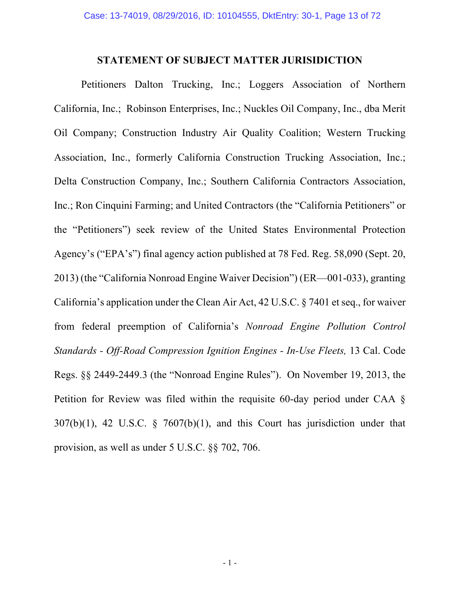### **STATEMENT OF SUBJECT MATTER JURISIDICTION**

Petitioners Dalton Trucking, Inc.; Loggers Association of Northern California, Inc.; Robinson Enterprises, Inc.; Nuckles Oil Company, Inc., dba Merit Oil Company; Construction Industry Air Quality Coalition; Western Trucking Association, Inc., formerly California Construction Trucking Association, Inc.; Delta Construction Company, Inc.; Southern California Contractors Association, Inc.; Ron Cinquini Farming; and United Contractors (the "California Petitioners" or the "Petitioners") seek review of the United States Environmental Protection Agency's ("EPA's") final agency action published at 78 Fed. Reg. 58,090 (Sept. 20, 2013) (the "California Nonroad Engine Waiver Decision") (ER—001-033), granting California's application under the Clean Air Act, 42 U.S.C. § 7401 et seq., for waiver from federal preemption of California's *Nonroad Engine Pollution Control Standards - Off-Road Compression Ignition Engines - In-Use Fleets,* 13 Cal. Code Regs. §§ 2449-2449.3 (the "Nonroad Engine Rules"). On November 19, 2013, the Petition for Review was filed within the requisite 60-day period under CAA  $\delta$  $307(b)(1)$ , 42 U.S.C. § 7607(b)(1), and this Court has jurisdiction under that provision, as well as under 5 U.S.C. §§ 702, 706.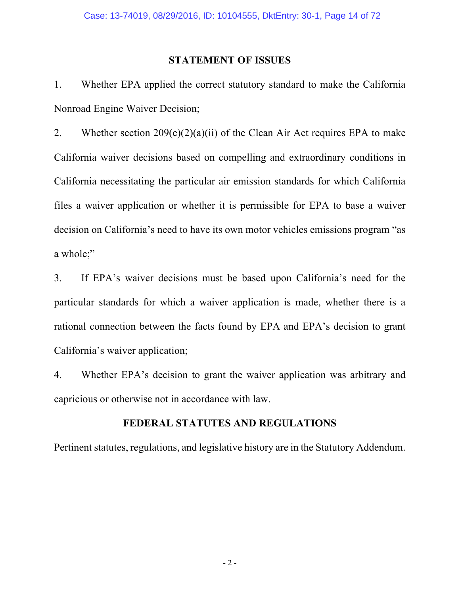### **STATEMENT OF ISSUES**

1. Whether EPA applied the correct statutory standard to make the California Nonroad Engine Waiver Decision;

2. Whether section  $209(e)(2)(a)(ii)$  of the Clean Air Act requires EPA to make California waiver decisions based on compelling and extraordinary conditions in California necessitating the particular air emission standards for which California files a waiver application or whether it is permissible for EPA to base a waiver decision on California's need to have its own motor vehicles emissions program "as a whole;"

3. If EPA's waiver decisions must be based upon California's need for the particular standards for which a waiver application is made, whether there is a rational connection between the facts found by EPA and EPA's decision to grant California's waiver application;

4. Whether EPA's decision to grant the waiver application was arbitrary and capricious or otherwise not in accordance with law.

## **FEDERAL STATUTES AND REGULATIONS**

Pertinent statutes, regulations, and legislative history are in the Statutory Addendum.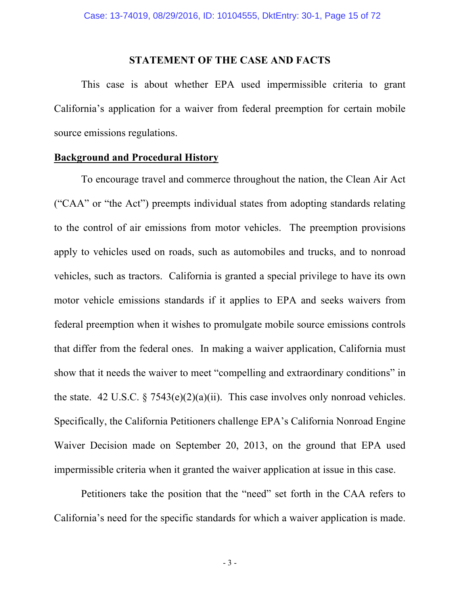#### **STATEMENT OF THE CASE AND FACTS**

This case is about whether EPA used impermissible criteria to grant California's application for a waiver from federal preemption for certain mobile source emissions regulations.

### **Background and Procedural History**

To encourage travel and commerce throughout the nation, the Clean Air Act ("CAA" or "the Act") preempts individual states from adopting standards relating to the control of air emissions from motor vehicles. The preemption provisions apply to vehicles used on roads, such as automobiles and trucks, and to nonroad vehicles, such as tractors. California is granted a special privilege to have its own motor vehicle emissions standards if it applies to EPA and seeks waivers from federal preemption when it wishes to promulgate mobile source emissions controls that differ from the federal ones. In making a waiver application, California must show that it needs the waiver to meet "compelling and extraordinary conditions" in the state. 42 U.S.C.  $\S 7543(e)(2)(a)(ii)$ . This case involves only nonroad vehicles. Specifically, the California Petitioners challenge EPA's California Nonroad Engine Waiver Decision made on September 20, 2013, on the ground that EPA used impermissible criteria when it granted the waiver application at issue in this case.

Petitioners take the position that the "need" set forth in the CAA refers to California's need for the specific standards for which a waiver application is made.

- 3 -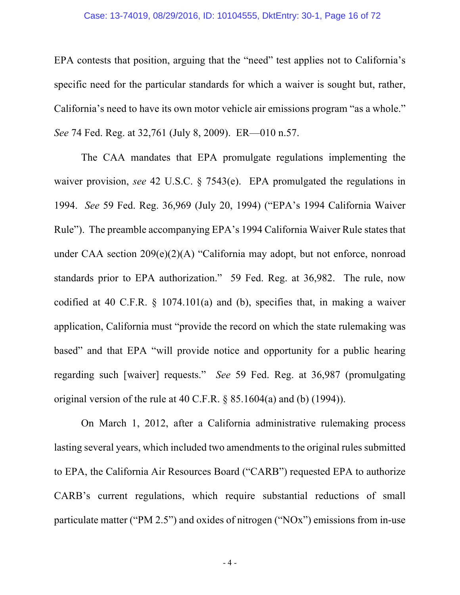#### Case: 13-74019, 08/29/2016, ID: 10104555, DktEntry: 30-1, Page 16 of 72

EPA contests that position, arguing that the "need" test applies not to California's specific need for the particular standards for which a waiver is sought but, rather, California's need to have its own motor vehicle air emissions program "as a whole." *See* 74 Fed. Reg. at 32,761 (July 8, 2009). ER—010 n.57.

The CAA mandates that EPA promulgate regulations implementing the waiver provision, *see* 42 U.S.C. § 7543(e). EPA promulgated the regulations in 1994. *See* 59 Fed. Reg. 36,969 (July 20, 1994) ("EPA's 1994 California Waiver Rule"). The preamble accompanying EPA's 1994 California Waiver Rule states that under CAA section 209(e)(2)(A) "California may adopt, but not enforce, nonroad standards prior to EPA authorization." 59 Fed. Reg. at 36,982. The rule, now codified at 40 C.F.R. § 1074.101(a) and (b), specifies that, in making a waiver application, California must "provide the record on which the state rulemaking was based" and that EPA "will provide notice and opportunity for a public hearing regarding such [waiver] requests." *See* 59 Fed. Reg. at 36,987 (promulgating original version of the rule at 40 C.F.R. § 85.1604(a) and (b) (1994)).

On March 1, 2012, after a California administrative rulemaking process lasting several years, which included two amendments to the original rules submitted to EPA, the California Air Resources Board ("CARB") requested EPA to authorize CARB's current regulations, which require substantial reductions of small particulate matter ("PM 2.5") and oxides of nitrogen ("NOx") emissions from in-use

- 4 -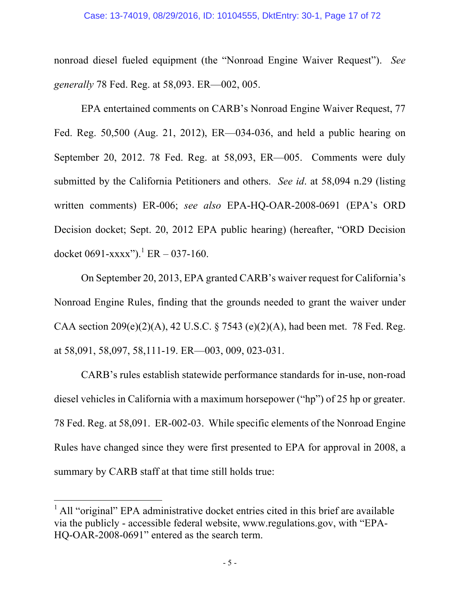#### Case: 13-74019, 08/29/2016, ID: 10104555, DktEntry: 30-1, Page 17 of 72

nonroad diesel fueled equipment (the "Nonroad Engine Waiver Request"). *See generally* 78 Fed. Reg. at 58,093. ER—002, 005.

EPA entertained comments on CARB's Nonroad Engine Waiver Request, 77 Fed. Reg. 50,500 (Aug. 21, 2012), ER—034-036, and held a public hearing on September 20, 2012. 78 Fed. Reg. at 58,093, ER—005. Comments were duly submitted by the California Petitioners and others. *See id*. at 58,094 n.29 (listing written comments) ER-006; *see also* EPA-HQ-OAR-2008-0691 (EPA's ORD Decision docket; Sept. 20, 2012 EPA public hearing) (hereafter, "ORD Decision docket 0691-xxxx").<sup>1</sup> ER – 037-160.

On September 20, 2013, EPA granted CARB's waiver request for California's Nonroad Engine Rules, finding that the grounds needed to grant the waiver under CAA section  $209(e)(2)(A)$ , 42 U.S.C. § 7543 (e)(2)(A), had been met. 78 Fed. Reg. at 58,091, 58,097, 58,111-19. ER—003, 009, 023-031.

CARB's rules establish statewide performance standards for in-use, non-road diesel vehicles in California with a maximum horsepower ("hp") of 25 hp or greater. 78 Fed. Reg. at 58,091. ER-002-03. While specific elements of the Nonroad Engine Rules have changed since they were first presented to EPA for approval in 2008, a summary by CARB staff at that time still holds true:

<u> 1989 - Johann Barn, mars ann an t-Amhain an t-Amhain an t-Amhain an t-Amhain an t-Amhain an t-Amhain an t-Amh</u>

 $<sup>1</sup>$  All "original" EPA administrative docket entries cited in this brief are available</sup> via the publicly - accessible federal website, www.regulations.gov, with "EPA-HQ-OAR-2008-0691" entered as the search term.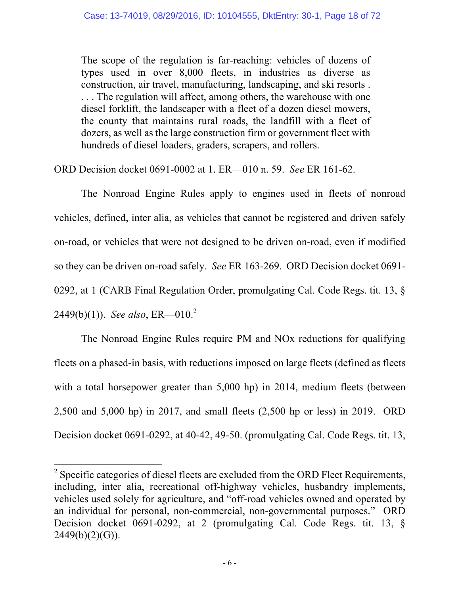The scope of the regulation is far-reaching: vehicles of dozens of types used in over 8,000 fleets, in industries as diverse as construction, air travel, manufacturing, landscaping, and ski resorts . . . . The regulation will affect, among others, the warehouse with one diesel forklift, the landscaper with a fleet of a dozen diesel mowers, the county that maintains rural roads, the landfill with a fleet of dozers, as well as the large construction firm or government fleet with hundreds of diesel loaders, graders, scrapers, and rollers.

ORD Decision docket 0691-0002 at 1. ER—010 n. 59. *See* ER 161-62.

The Nonroad Engine Rules apply to engines used in fleets of nonroad vehicles, defined, inter alia, as vehicles that cannot be registered and driven safely on-road, or vehicles that were not designed to be driven on-road, even if modified so they can be driven on-road safely. *See* ER 163-269. ORD Decision docket 0691- 0292, at 1 (CARB Final Regulation Order, promulgating Cal. Code Regs. tit. 13, § 2449(b)(1)). *See also*, ER—010. 2

The Nonroad Engine Rules require PM and NOx reductions for qualifying fleets on a phased-in basis, with reductions imposed on large fleets (defined as fleets with a total horsepower greater than 5,000 hp) in 2014, medium fleets (between 2,500 and 5,000 hp) in 2017, and small fleets (2,500 hp or less) in 2019. ORD Decision docket 0691-0292, at 40-42, 49-50. (promulgating Cal. Code Regs. tit. 13,

<u> 1989 - Johann Barn, mars ann an t-Amhain an t-Amhain an t-Amhain an t-Amhain an t-Amhain an t-Amhain an t-Amh</u>

<sup>&</sup>lt;sup>2</sup> Specific categories of diesel fleets are excluded from the ORD Fleet Requirements, including, inter alia, recreational off-highway vehicles, husbandry implements, vehicles used solely for agriculture, and "off-road vehicles owned and operated by an individual for personal, non-commercial, non-governmental purposes." ORD Decision docket 0691-0292, at 2 (promulgating Cal. Code Regs. tit. 13, §  $2449(b)(2)(G)$ .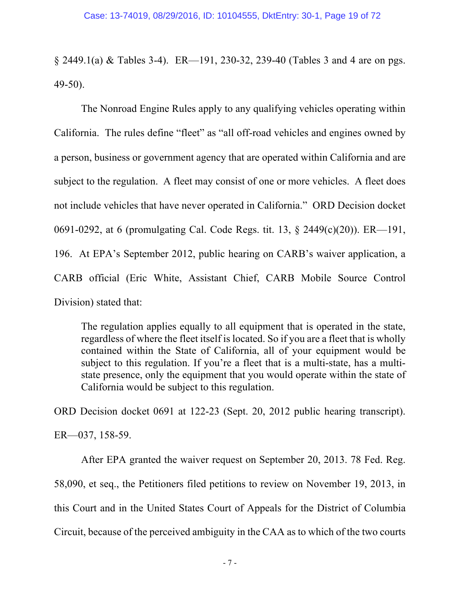§ 2449.1(a) & Tables 3-4). ER—191, 230-32, 239-40 (Tables 3 and 4 are on pgs. 49-50).

The Nonroad Engine Rules apply to any qualifying vehicles operating within California. The rules define "fleet" as "all off-road vehicles and engines owned by a person, business or government agency that are operated within California and are subject to the regulation. A fleet may consist of one or more vehicles. A fleet does not include vehicles that have never operated in California." ORD Decision docket 0691-0292, at 6 (promulgating Cal. Code Regs. tit. 13, § 2449(c)(20)). ER—191, 196. At EPA's September 2012, public hearing on CARB's waiver application, a CARB official (Eric White, Assistant Chief, CARB Mobile Source Control Division) stated that:

The regulation applies equally to all equipment that is operated in the state, regardless of where the fleet itself is located. So if you are a fleet that is wholly contained within the State of California, all of your equipment would be subject to this regulation. If you're a fleet that is a multi-state, has a multistate presence, only the equipment that you would operate within the state of California would be subject to this regulation.

ORD Decision docket 0691 at 122-23 (Sept. 20, 2012 public hearing transcript).

ER—037, 158-59.

After EPA granted the waiver request on September 20, 2013. 78 Fed. Reg. 58,090, et seq., the Petitioners filed petitions to review on November 19, 2013, in this Court and in the United States Court of Appeals for the District of Columbia Circuit, because of the perceived ambiguity in the CAA as to which of the two courts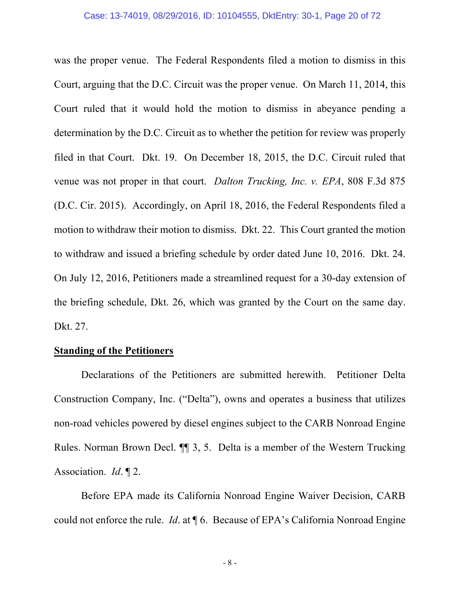was the proper venue. The Federal Respondents filed a motion to dismiss in this Court, arguing that the D.C. Circuit was the proper venue. On March 11, 2014, this Court ruled that it would hold the motion to dismiss in abeyance pending a determination by the D.C. Circuit as to whether the petition for review was properly filed in that Court. Dkt. 19. On December 18, 2015, the D.C. Circuit ruled that venue was not proper in that court. *Dalton Trucking, Inc. v. EPA*, 808 F.3d 875 (D.C. Cir. 2015). Accordingly, on April 18, 2016, the Federal Respondents filed a motion to withdraw their motion to dismiss. Dkt. 22. This Court granted the motion to withdraw and issued a briefing schedule by order dated June 10, 2016. Dkt. 24. On July 12, 2016, Petitioners made a streamlined request for a 30-day extension of the briefing schedule, Dkt. 26, which was granted by the Court on the same day. Dkt. 27.

#### **Standing of the Petitioners**

Declarations of the Petitioners are submitted herewith. Petitioner Delta Construction Company, Inc. ("Delta"), owns and operates a business that utilizes non-road vehicles powered by diesel engines subject to the CARB Nonroad Engine Rules. Norman Brown Decl. ¶¶ 3, 5. Delta is a member of the Western Trucking Association. *Id*. ¶ 2.

Before EPA made its California Nonroad Engine Waiver Decision, CARB could not enforce the rule. *Id*. at ¶ 6. Because of EPA's California Nonroad Engine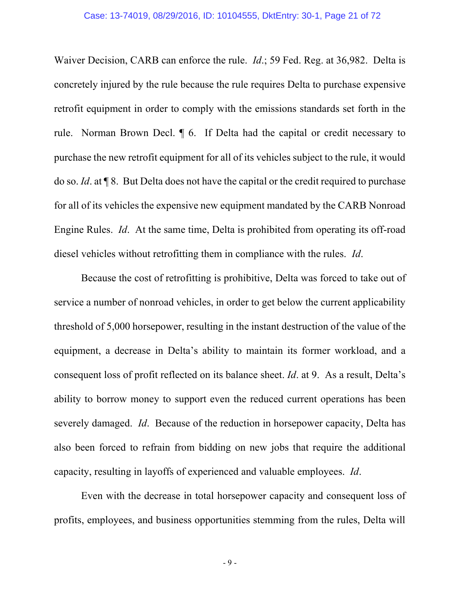Waiver Decision, CARB can enforce the rule. *Id*.; 59 Fed. Reg. at 36,982. Delta is concretely injured by the rule because the rule requires Delta to purchase expensive retrofit equipment in order to comply with the emissions standards set forth in the rule. Norman Brown Decl. ¶ 6. If Delta had the capital or credit necessary to purchase the new retrofit equipment for all of its vehicles subject to the rule, it would do so. *Id*. at ¶ 8. But Delta does not have the capital or the credit required to purchase for all of its vehicles the expensive new equipment mandated by the CARB Nonroad Engine Rules. *Id*. At the same time, Delta is prohibited from operating its off-road diesel vehicles without retrofitting them in compliance with the rules. *Id*.

Because the cost of retrofitting is prohibitive, Delta was forced to take out of service a number of nonroad vehicles, in order to get below the current applicability threshold of 5,000 horsepower, resulting in the instant destruction of the value of the equipment, a decrease in Delta's ability to maintain its former workload, and a consequent loss of profit reflected on its balance sheet. *Id*. at 9. As a result, Delta's ability to borrow money to support even the reduced current operations has been severely damaged. *Id*. Because of the reduction in horsepower capacity, Delta has also been forced to refrain from bidding on new jobs that require the additional capacity, resulting in layoffs of experienced and valuable employees. *Id*.

Even with the decrease in total horsepower capacity and consequent loss of profits, employees, and business opportunities stemming from the rules, Delta will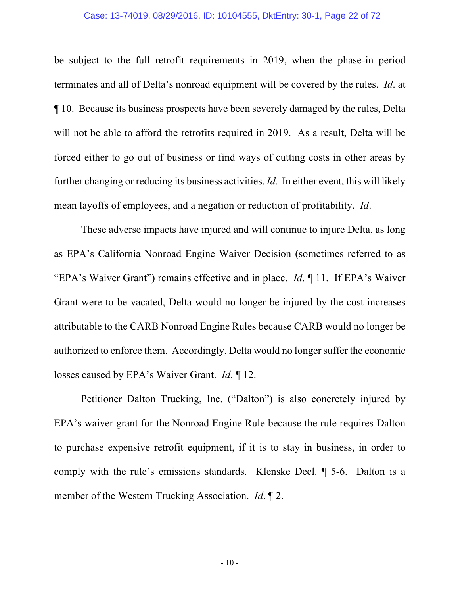be subject to the full retrofit requirements in 2019, when the phase-in period terminates and all of Delta's nonroad equipment will be covered by the rules. *Id*. at ¶ 10. Because its business prospects have been severely damaged by the rules, Delta will not be able to afford the retrofits required in 2019. As a result, Delta will be forced either to go out of business or find ways of cutting costs in other areas by further changing or reducing its business activities. *Id*. In either event, this will likely mean layoffs of employees, and a negation or reduction of profitability. *Id*.

These adverse impacts have injured and will continue to injure Delta, as long as EPA's California Nonroad Engine Waiver Decision (sometimes referred to as "EPA's Waiver Grant") remains effective and in place. *Id*. ¶ 11. If EPA's Waiver Grant were to be vacated, Delta would no longer be injured by the cost increases attributable to the CARB Nonroad Engine Rules because CARB would no longer be authorized to enforce them. Accordingly, Delta would no longer suffer the economic losses caused by EPA's Waiver Grant. *Id*. ¶ 12.

Petitioner Dalton Trucking, Inc. ("Dalton") is also concretely injured by EPA's waiver grant for the Nonroad Engine Rule because the rule requires Dalton to purchase expensive retrofit equipment, if it is to stay in business, in order to comply with the rule's emissions standards. Klenske Decl. ¶ 5-6. Dalton is a member of the Western Trucking Association. *Id*. ¶ 2.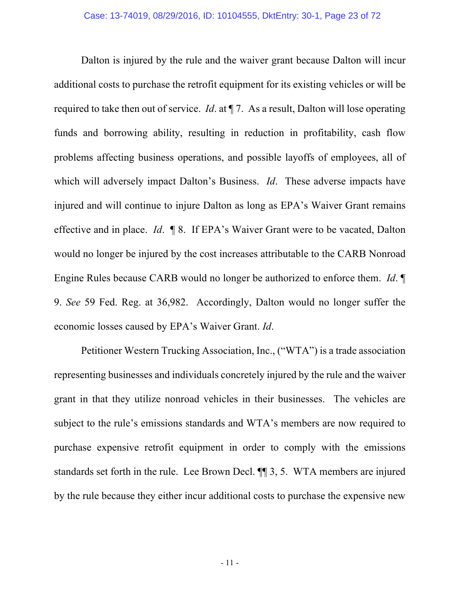Dalton is injured by the rule and the waiver grant because Dalton will incur additional costs to purchase the retrofit equipment for its existing vehicles or will be required to take then out of service. *Id*. at ¶ 7. As a result, Dalton will lose operating funds and borrowing ability, resulting in reduction in profitability, cash flow problems affecting business operations, and possible layoffs of employees, all of which will adversely impact Dalton's Business. *Id*. These adverse impacts have injured and will continue to injure Dalton as long as EPA's Waiver Grant remains effective and in place. *Id*. ¶ 8. If EPA's Waiver Grant were to be vacated, Dalton would no longer be injured by the cost increases attributable to the CARB Nonroad Engine Rules because CARB would no longer be authorized to enforce them. *Id*. ¶ 9. *See* 59 Fed. Reg. at 36,982. Accordingly, Dalton would no longer suffer the economic losses caused by EPA's Waiver Grant. *Id*.

Petitioner Western Trucking Association, Inc., ("WTA") is a trade association representing businesses and individuals concretely injured by the rule and the waiver grant in that they utilize nonroad vehicles in their businesses. The vehicles are subject to the rule's emissions standards and WTA's members are now required to purchase expensive retrofit equipment in order to comply with the emissions standards set forth in the rule. Lee Brown Decl. ¶¶ 3, 5. WTA members are injured by the rule because they either incur additional costs to purchase the expensive new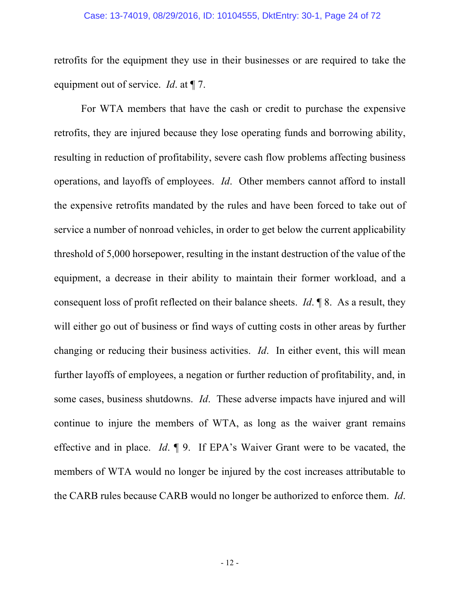#### Case: 13-74019, 08/29/2016, ID: 10104555, DktEntry: 30-1, Page 24 of 72

retrofits for the equipment they use in their businesses or are required to take the equipment out of service. *Id*. at ¶ 7.

For WTA members that have the cash or credit to purchase the expensive retrofits, they are injured because they lose operating funds and borrowing ability, resulting in reduction of profitability, severe cash flow problems affecting business operations, and layoffs of employees. *Id*. Other members cannot afford to install the expensive retrofits mandated by the rules and have been forced to take out of service a number of nonroad vehicles, in order to get below the current applicability threshold of 5,000 horsepower, resulting in the instant destruction of the value of the equipment, a decrease in their ability to maintain their former workload, and a consequent loss of profit reflected on their balance sheets. *Id*. ¶ 8. As a result, they will either go out of business or find ways of cutting costs in other areas by further changing or reducing their business activities. *Id*. In either event, this will mean further layoffs of employees, a negation or further reduction of profitability, and, in some cases, business shutdowns. *Id*. These adverse impacts have injured and will continue to injure the members of WTA, as long as the waiver grant remains effective and in place. *Id*. ¶ 9. If EPA's Waiver Grant were to be vacated, the members of WTA would no longer be injured by the cost increases attributable to the CARB rules because CARB would no longer be authorized to enforce them. *Id*.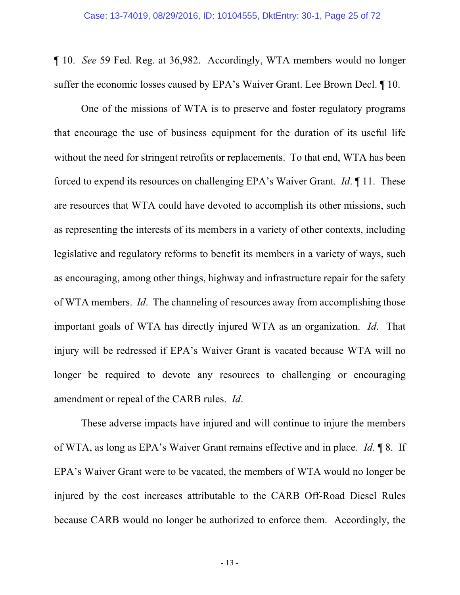¶ 10. *See* 59 Fed. Reg. at 36,982. Accordingly, WTA members would no longer suffer the economic losses caused by EPA's Waiver Grant. Lee Brown Decl. ¶ 10.

One of the missions of WTA is to preserve and foster regulatory programs that encourage the use of business equipment for the duration of its useful life without the need for stringent retrofits or replacements. To that end, WTA has been forced to expend its resources on challenging EPA's Waiver Grant. *Id*. ¶ 11. These are resources that WTA could have devoted to accomplish its other missions, such as representing the interests of its members in a variety of other contexts, including legislative and regulatory reforms to benefit its members in a variety of ways, such as encouraging, among other things, highway and infrastructure repair for the safety of WTA members. *Id*. The channeling of resources away from accomplishing those important goals of WTA has directly injured WTA as an organization. *Id*. That injury will be redressed if EPA's Waiver Grant is vacated because WTA will no longer be required to devote any resources to challenging or encouraging amendment or repeal of the CARB rules. *Id*.

These adverse impacts have injured and will continue to injure the members of WTA, as long as EPA's Waiver Grant remains effective and in place. *Id*. ¶ 8. If EPA's Waiver Grant were to be vacated, the members of WTA would no longer be injured by the cost increases attributable to the CARB Off-Road Diesel Rules because CARB would no longer be authorized to enforce them. Accordingly, the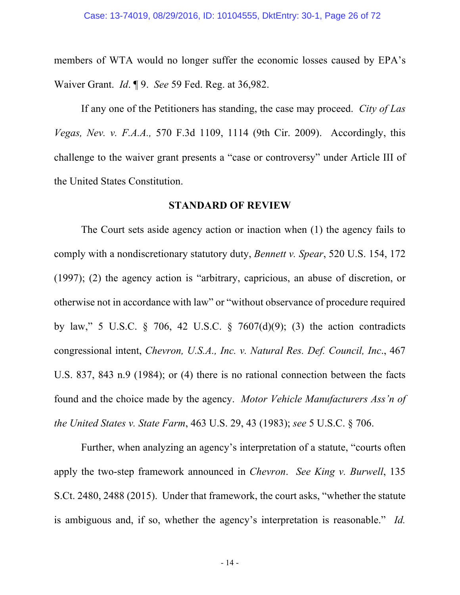members of WTA would no longer suffer the economic losses caused by EPA's Waiver Grant. *Id*. ¶ 9. *See* 59 Fed. Reg. at 36,982.

If any one of the Petitioners has standing, the case may proceed. *City of Las Vegas, Nev. v. F.A.A.,* 570 F.3d 1109, 1114 (9th Cir. 2009). Accordingly, this challenge to the waiver grant presents a "case or controversy" under Article III of the United States Constitution.

### **STANDARD OF REVIEW**

The Court sets aside agency action or inaction when (1) the agency fails to comply with a nondiscretionary statutory duty, *Bennett v. Spear*, 520 U.S. 154, 172 (1997); (2) the agency action is "arbitrary, capricious, an abuse of discretion, or otherwise not in accordance with law" or "without observance of procedure required by law," 5 U.S.C. § 706, 42 U.S.C. § 7607(d)(9); (3) the action contradicts congressional intent, *Chevron, U.S.A., Inc. v. Natural Res. Def. Council, Inc*., 467 U.S. 837, 843 n.9 (1984); or (4) there is no rational connection between the facts found and the choice made by the agency. *Motor Vehicle Manufacturers Ass'n of the United States v. State Farm*, 463 U.S. 29, 43 (1983); *see* 5 U.S.C. § 706.

Further, when analyzing an agency's interpretation of a statute, "courts often apply the two-step framework announced in *Chevron*. *See King v. Burwell*, 135 S.Ct. 2480, 2488 (2015). Under that framework, the court asks, "whether the statute is ambiguous and, if so, whether the agency's interpretation is reasonable." *Id.*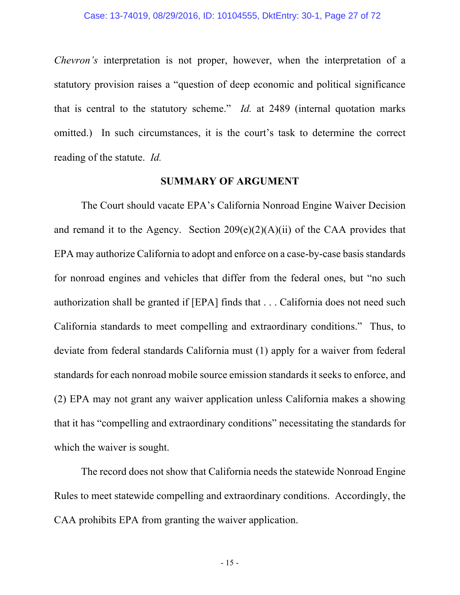*Chevron's* interpretation is not proper, however, when the interpretation of a statutory provision raises a "question of deep economic and political significance that is central to the statutory scheme." *Id.* at 2489 (internal quotation marks omitted.) In such circumstances, it is the court's task to determine the correct reading of the statute. *Id.*

#### **SUMMARY OF ARGUMENT**

The Court should vacate EPA's California Nonroad Engine Waiver Decision and remand it to the Agency. Section  $209(e)(2)(A)(ii)$  of the CAA provides that EPA may authorize California to adopt and enforce on a case-by-case basis standards for nonroad engines and vehicles that differ from the federal ones, but "no such authorization shall be granted if [EPA] finds that . . . California does not need such California standards to meet compelling and extraordinary conditions." Thus, to deviate from federal standards California must (1) apply for a waiver from federal standards for each nonroad mobile source emission standards it seeks to enforce, and (2) EPA may not grant any waiver application unless California makes a showing that it has "compelling and extraordinary conditions" necessitating the standards for which the waiver is sought.

The record does not show that California needs the statewide Nonroad Engine Rules to meet statewide compelling and extraordinary conditions. Accordingly, the CAA prohibits EPA from granting the waiver application.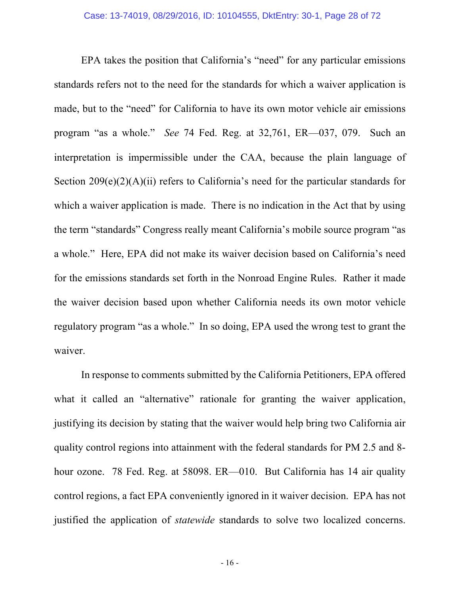EPA takes the position that California's "need" for any particular emissions standards refers not to the need for the standards for which a waiver application is made, but to the "need" for California to have its own motor vehicle air emissions program "as a whole." *See* 74 Fed. Reg. at 32,761, ER—037, 079. Such an interpretation is impermissible under the CAA, because the plain language of Section 209(e)(2)(A)(ii) refers to California's need for the particular standards for which a waiver application is made. There is no indication in the Act that by using the term "standards" Congress really meant California's mobile source program "as a whole." Here, EPA did not make its waiver decision based on California's need for the emissions standards set forth in the Nonroad Engine Rules. Rather it made the waiver decision based upon whether California needs its own motor vehicle regulatory program "as a whole." In so doing, EPA used the wrong test to grant the waiver.

In response to comments submitted by the California Petitioners, EPA offered what it called an "alternative" rationale for granting the waiver application, justifying its decision by stating that the waiver would help bring two California air quality control regions into attainment with the federal standards for PM 2.5 and 8 hour ozone. 78 Fed. Reg. at 58098. ER—010. But California has 14 air quality control regions, a fact EPA conveniently ignored in it waiver decision. EPA has not justified the application of *statewide* standards to solve two localized concerns.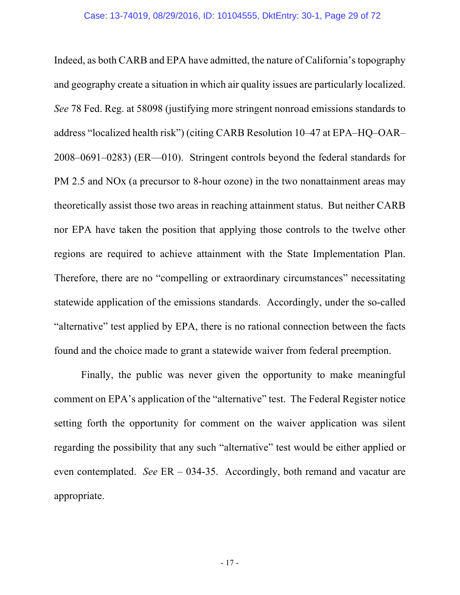Indeed, as both CARB and EPA have admitted, the nature of California's topography and geography create a situation in which air quality issues are particularly localized. *See* 78 Fed. Reg. at 58098 (justifying more stringent nonroad emissions standards to address "localized health risk") (citing CARB Resolution 10–47 at EPA–HQ–OAR– 2008–0691–0283) (ER—010). Stringent controls beyond the federal standards for PM 2.5 and NOx (a precursor to 8-hour ozone) in the two nonattainment areas may theoretically assist those two areas in reaching attainment status. But neither CARB nor EPA have taken the position that applying those controls to the twelve other regions are required to achieve attainment with the State Implementation Plan. Therefore, there are no "compelling or extraordinary circumstances" necessitating statewide application of the emissions standards. Accordingly, under the so-called "alternative" test applied by EPA, there is no rational connection between the facts found and the choice made to grant a statewide waiver from federal preemption.

Finally, the public was never given the opportunity to make meaningful comment on EPA's application of the "alternative" test. The Federal Register notice setting forth the opportunity for comment on the waiver application was silent regarding the possibility that any such "alternative" test would be either applied or even contemplated. *See* ER – 034-35. Accordingly, both remand and vacatur are appropriate.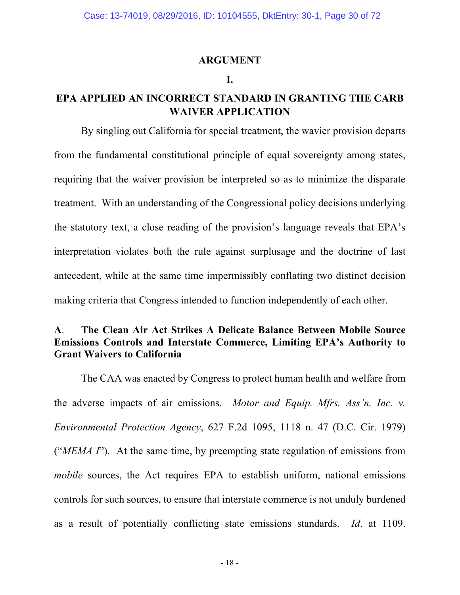### **ARGUMENT**

### **I.**

## **EPA APPLIED AN INCORRECT STANDARD IN GRANTING THE CARB WAIVER APPLICATION**

By singling out California for special treatment, the wavier provision departs from the fundamental constitutional principle of equal sovereignty among states, requiring that the waiver provision be interpreted so as to minimize the disparate treatment. With an understanding of the Congressional policy decisions underlying the statutory text, a close reading of the provision's language reveals that EPA's interpretation violates both the rule against surplusage and the doctrine of last antecedent, while at the same time impermissibly conflating two distinct decision making criteria that Congress intended to function independently of each other.

## **A**. **The Clean Air Act Strikes A Delicate Balance Between Mobile Source Emissions Controls and Interstate Commerce, Limiting EPA's Authority to Grant Waivers to California**

The CAA was enacted by Congress to protect human health and welfare from the adverse impacts of air emissions. *Motor and Equip. Mfrs. Ass'n, Inc. v. Environmental Protection Agency*, 627 F.2d 1095, 1118 n. 47 (D.C. Cir. 1979) ("*MEMA I*"). At the same time, by preempting state regulation of emissions from *mobile* sources, the Act requires EPA to establish uniform, national emissions controls for such sources, to ensure that interstate commerce is not unduly burdened as a result of potentially conflicting state emissions standards. *Id*. at 1109.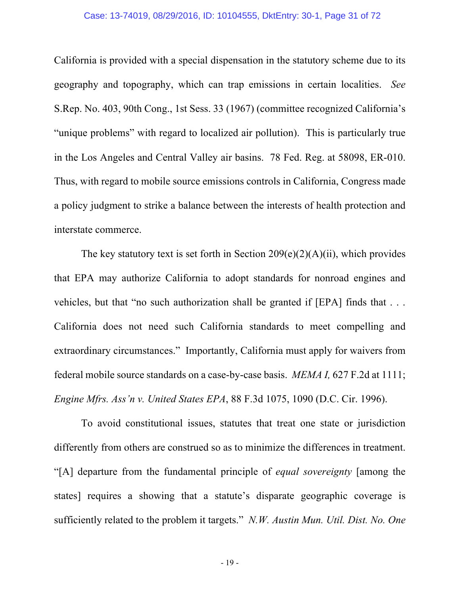#### Case: 13-74019, 08/29/2016, ID: 10104555, DktEntry: 30-1, Page 31 of 72

California is provided with a special dispensation in the statutory scheme due to its geography and topography, which can trap emissions in certain localities. *See* S.Rep. No. 403, 90th Cong., 1st Sess. 33 (1967) (committee recognized California's "unique problems" with regard to localized air pollution). This is particularly true in the Los Angeles and Central Valley air basins. 78 Fed. Reg. at 58098, ER-010. Thus, with regard to mobile source emissions controls in California, Congress made a policy judgment to strike a balance between the interests of health protection and interstate commerce.

The key statutory text is set forth in Section  $209(e)(2)(A)(ii)$ , which provides that EPA may authorize California to adopt standards for nonroad engines and vehicles, but that "no such authorization shall be granted if [EPA] finds that . . . California does not need such California standards to meet compelling and extraordinary circumstances." Importantly, California must apply for waivers from federal mobile source standards on a case-by-case basis. *MEMA I,* 627 F.2d at 1111; *Engine Mfrs. Ass'n v. United States EPA*, 88 F.3d 1075, 1090 (D.C. Cir. 1996).

To avoid constitutional issues, statutes that treat one state or jurisdiction differently from others are construed so as to minimize the differences in treatment. "[A] departure from the fundamental principle of *equal sovereignty* [among the states] requires a showing that a statute's disparate geographic coverage is sufficiently related to the problem it targets." *N.W. Austin Mun. Util. Dist. No. One*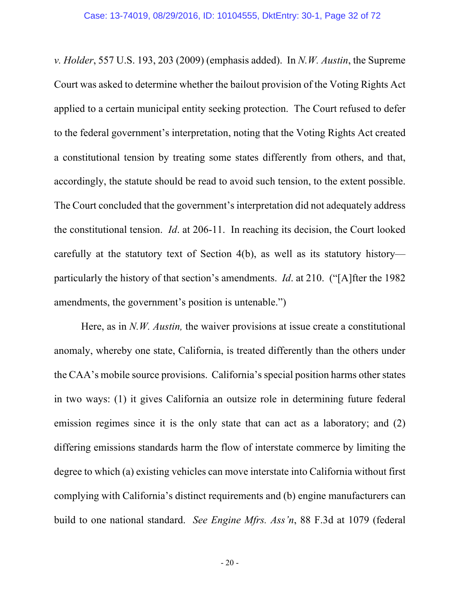*v. Holder*, 557 U.S. 193, 203 (2009) (emphasis added). In *N.W. Austin*, the Supreme Court was asked to determine whether the bailout provision of the Voting Rights Act applied to a certain municipal entity seeking protection. The Court refused to defer to the federal government's interpretation, noting that the Voting Rights Act created a constitutional tension by treating some states differently from others, and that, accordingly, the statute should be read to avoid such tension, to the extent possible. The Court concluded that the government's interpretation did not adequately address the constitutional tension. *Id*. at 206-11. In reaching its decision, the Court looked carefully at the statutory text of Section 4(b), as well as its statutory history particularly the history of that section's amendments. *Id*. at 210. ("[A]fter the 1982 amendments, the government's position is untenable.")

Here, as in *N.W. Austin,* the waiver provisions at issue create a constitutional anomaly, whereby one state, California, is treated differently than the others under the CAA's mobile source provisions. California's special position harms other states in two ways: (1) it gives California an outsize role in determining future federal emission regimes since it is the only state that can act as a laboratory; and (2) differing emissions standards harm the flow of interstate commerce by limiting the degree to which (a) existing vehicles can move interstate into California without first complying with California's distinct requirements and (b) engine manufacturers can build to one national standard. *See Engine Mfrs. Ass'n*, 88 F.3d at 1079 (federal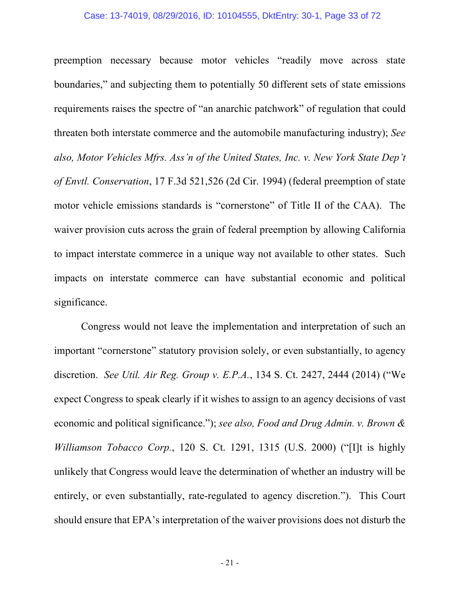#### Case: 13-74019, 08/29/2016, ID: 10104555, DktEntry: 30-1, Page 33 of 72

preemption necessary because motor vehicles "readily move across state boundaries," and subjecting them to potentially 50 different sets of state emissions requirements raises the spectre of "an anarchic patchwork" of regulation that could threaten both interstate commerce and the automobile manufacturing industry); *See also, Motor Vehicles Mfrs. Ass'n of the United States, Inc. v. New York State Dep't of Envtl. Conservation*, 17 F.3d 521,526 (2d Cir. 1994) (federal preemption of state motor vehicle emissions standards is "cornerstone" of Title II of the CAA). The waiver provision cuts across the grain of federal preemption by allowing California to impact interstate commerce in a unique way not available to other states. Such impacts on interstate commerce can have substantial economic and political significance.

Congress would not leave the implementation and interpretation of such an important "cornerstone" statutory provision solely, or even substantially, to agency discretion. *See Util. Air Reg. Group v. E.P.A.*, 134 S. Ct. 2427, 2444 (2014) ("We expect Congress to speak clearly if it wishes to assign to an agency decisions of vast economic and political significance."); *see also, Food and Drug Admin. v. Brown & Williamson Tobacco Corp.*, 120 S. Ct. 1291, 1315 (U.S. 2000) ("[I]t is highly unlikely that Congress would leave the determination of whether an industry will be entirely, or even substantially, rate-regulated to agency discretion."). This Court should ensure that EPA's interpretation of the waiver provisions does not disturb the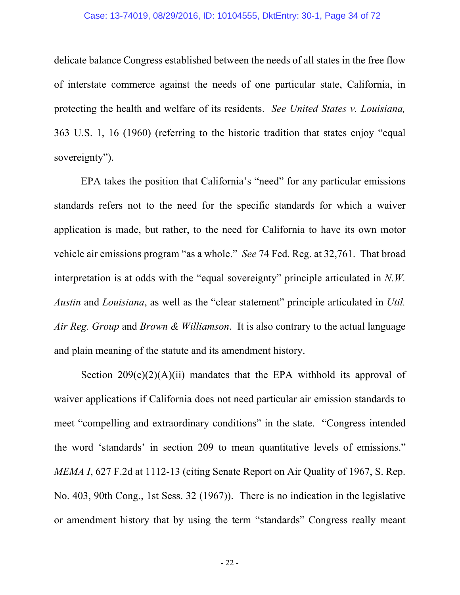#### Case: 13-74019, 08/29/2016, ID: 10104555, DktEntry: 30-1, Page 34 of 72

delicate balance Congress established between the needs of all states in the free flow of interstate commerce against the needs of one particular state, California, in protecting the health and welfare of its residents. *See United States v. Louisiana,*  363 U.S. 1, 16 (1960) (referring to the historic tradition that states enjoy "equal sovereignty").

EPA takes the position that California's "need" for any particular emissions standards refers not to the need for the specific standards for which a waiver application is made, but rather, to the need for California to have its own motor vehicle air emissions program "as a whole." *See* 74 Fed. Reg. at 32,761. That broad interpretation is at odds with the "equal sovereignty" principle articulated in *N.W. Austin* and *Louisiana*, as well as the "clear statement" principle articulated in *Util. Air Reg. Group* and *Brown & Williamson*. It is also contrary to the actual language and plain meaning of the statute and its amendment history.

Section  $209(e)(2)(A)(ii)$  mandates that the EPA withhold its approval of waiver applications if California does not need particular air emission standards to meet "compelling and extraordinary conditions" in the state. "Congress intended the word 'standards' in section 209 to mean quantitative levels of emissions." *MEMA I*, 627 F.2d at 1112-13 (citing Senate Report on Air Quality of 1967, S. Rep. No. 403, 90th Cong., 1st Sess. 32 (1967)). There is no indication in the legislative or amendment history that by using the term "standards" Congress really meant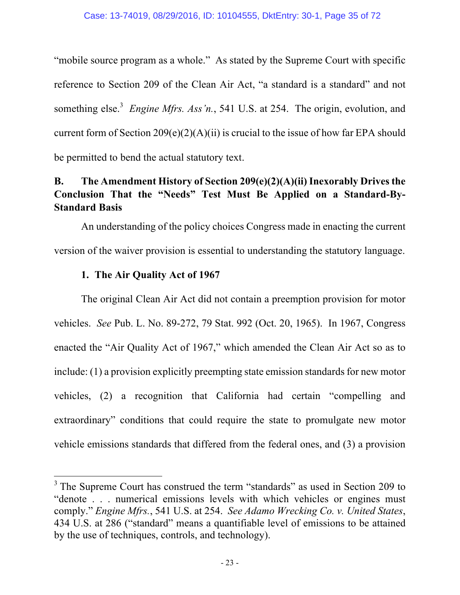"mobile source program as a whole." As stated by the Supreme Court with specific reference to Section 209 of the Clean Air Act, "a standard is a standard" and not something else.<sup>3</sup> *Engine Mfrs. Ass'n.*, 541 U.S. at 254. The origin, evolution, and current form of Section  $209(e)(2)(A)(ii)$  is crucial to the issue of how far EPA should be permitted to bend the actual statutory text.

# **B. The Amendment History of Section 209(e)(2)(A)(ii) Inexorably Drives the Conclusion That the "Needs" Test Must Be Applied on a Standard-By-Standard Basis**

An understanding of the policy choices Congress made in enacting the current version of the waiver provision is essential to understanding the statutory language.

## **1. The Air Quality Act of 1967**

<u> 1989 - Johann Barn, mars ann an t-Amhain an t-Amhain an t-Amhain an t-Amhain an t-Amhain an t-Amhain an t-Amh</u>

The original Clean Air Act did not contain a preemption provision for motor vehicles. *See* Pub. L. No. 89-272, 79 Stat. 992 (Oct. 20, 1965). In 1967, Congress enacted the "Air Quality Act of 1967," which amended the Clean Air Act so as to include: (1) a provision explicitly preempting state emission standards for new motor vehicles, (2) a recognition that California had certain "compelling and extraordinary" conditions that could require the state to promulgate new motor vehicle emissions standards that differed from the federal ones, and (3) a provision

 $3$  The Supreme Court has construed the term "standards" as used in Section 209 to "denote . . . numerical emissions levels with which vehicles or engines must comply." *Engine Mfrs.*, 541 U.S. at 254. *See Adamo Wrecking Co. v. United States*, 434 U.S. at 286 ("standard" means a quantifiable level of emissions to be attained by the use of techniques, controls, and technology).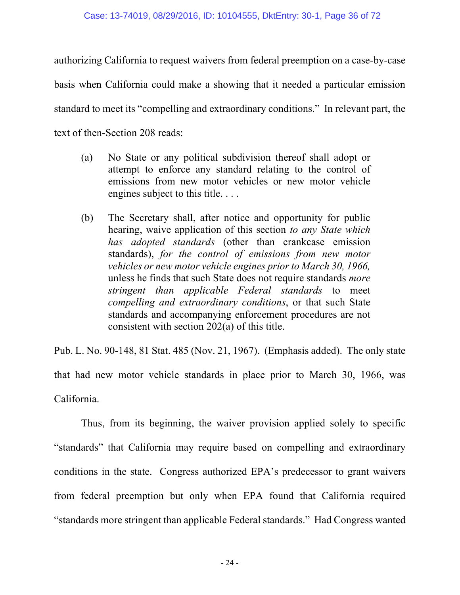authorizing California to request waivers from federal preemption on a case-by-case basis when California could make a showing that it needed a particular emission standard to meet its "compelling and extraordinary conditions." In relevant part, the text of then-Section 208 reads:

- (a) No State or any political subdivision thereof shall adopt or attempt to enforce any standard relating to the control of emissions from new motor vehicles or new motor vehicle engines subject to this title. . . .
- (b) The Secretary shall, after notice and opportunity for public hearing, waive application of this section *to any State which has adopted standards* (other than crankcase emission standards), *for the control of emissions from new motor vehicles or new motor vehicle engines prior to March 30, 1966,* unless he finds that such State does not require standards *more stringent than applicable Federal standards* to meet *compelling and extraordinary conditions*, or that such State standards and accompanying enforcement procedures are not consistent with section 202(a) of this title.

Pub. L. No. 90-148, 81 Stat. 485 (Nov. 21, 1967). (Emphasis added). The only state that had new motor vehicle standards in place prior to March 30, 1966, was California.

Thus, from its beginning, the waiver provision applied solely to specific "standards" that California may require based on compelling and extraordinary conditions in the state. Congress authorized EPA's predecessor to grant waivers from federal preemption but only when EPA found that California required "standards more stringent than applicable Federal standards." Had Congress wanted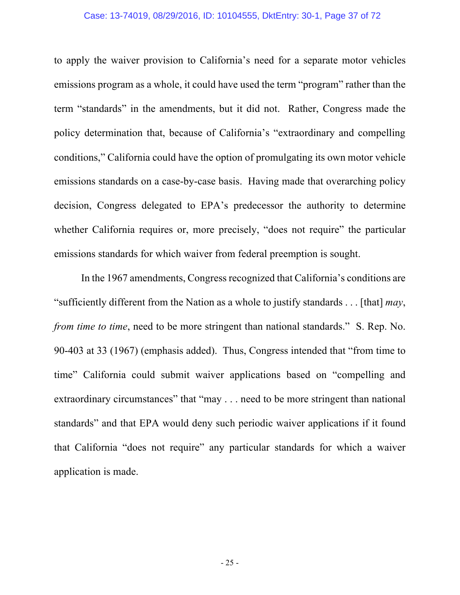### Case: 13-74019, 08/29/2016, ID: 10104555, DktEntry: 30-1, Page 37 of 72

to apply the waiver provision to California's need for a separate motor vehicles emissions program as a whole, it could have used the term "program" rather than the term "standards" in the amendments, but it did not. Rather, Congress made the policy determination that, because of California's "extraordinary and compelling conditions," California could have the option of promulgating its own motor vehicle emissions standards on a case-by-case basis. Having made that overarching policy decision, Congress delegated to EPA's predecessor the authority to determine whether California requires or, more precisely, "does not require" the particular emissions standards for which waiver from federal preemption is sought.

In the 1967 amendments, Congress recognized that California's conditions are "sufficiently different from the Nation as a whole to justify standards . . . [that] *may*, *from time to time*, need to be more stringent than national standards." S. Rep. No. 90-403 at 33 (1967) (emphasis added). Thus, Congress intended that "from time to time" California could submit waiver applications based on "compelling and extraordinary circumstances" that "may . . . need to be more stringent than national standards" and that EPA would deny such periodic waiver applications if it found that California "does not require" any particular standards for which a waiver application is made.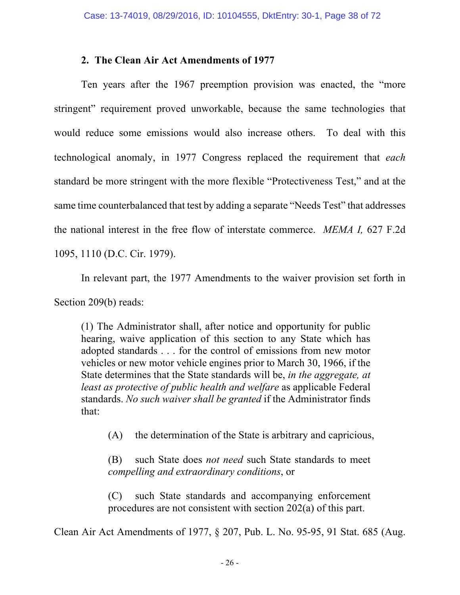## **2. The Clean Air Act Amendments of 1977**

Ten years after the 1967 preemption provision was enacted, the "more stringent" requirement proved unworkable, because the same technologies that would reduce some emissions would also increase others. To deal with this technological anomaly, in 1977 Congress replaced the requirement that *each*  standard be more stringent with the more flexible "Protectiveness Test," and at the same time counterbalanced that test by adding a separate "Needs Test" that addresses the national interest in the free flow of interstate commerce. *MEMA I,* 627 F.2d 1095, 1110 (D.C. Cir. 1979).

In relevant part, the 1977 Amendments to the waiver provision set forth in Section 209(b) reads:

(1) The Administrator shall, after notice and opportunity for public hearing, waive application of this section to any State which has adopted standards . . . for the control of emissions from new motor vehicles or new motor vehicle engines prior to March 30, 1966, if the State determines that the State standards will be, *in the aggregate, at least as protective of public health and welfare* as applicable Federal standards. *No such waiver shall be granted* if the Administrator finds that:

(A) the determination of the State is arbitrary and capricious,

(B) such State does *not need* such State standards to meet *compelling and extraordinary conditions*, or

(C) such State standards and accompanying enforcement procedures are not consistent with section 202(a) of this part.

Clean Air Act Amendments of 1977, § 207, Pub. L. No. 95-95, 91 Stat. 685 (Aug.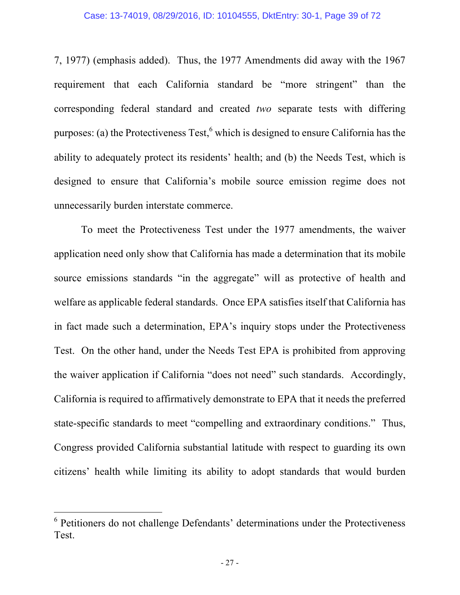7, 1977) (emphasis added). Thus, the 1977 Amendments did away with the 1967 requirement that each California standard be "more stringent" than the corresponding federal standard and created *two* separate tests with differing purposes: (a) the Protectiveness Test, <sup>6</sup> which is designed to ensure California has the ability to adequately protect its residents' health; and (b) the Needs Test, which is designed to ensure that California's mobile source emission regime does not unnecessarily burden interstate commerce.

To meet the Protectiveness Test under the 1977 amendments, the waiver application need only show that California has made a determination that its mobile source emissions standards "in the aggregate" will as protective of health and welfare as applicable federal standards. Once EPA satisfies itself that California has in fact made such a determination, EPA's inquiry stops under the Protectiveness Test. On the other hand, under the Needs Test EPA is prohibited from approving the waiver application if California "does not need" such standards. Accordingly, California is required to affirmatively demonstrate to EPA that it needs the preferred state-specific standards to meet "compelling and extraordinary conditions." Thus, Congress provided California substantial latitude with respect to guarding its own citizens' health while limiting its ability to adopt standards that would burden

<u> 1989 - Johann Barn, mars ann an t-Amhain an t-Amhain an t-Amhain an t-Amhain an t-Amhain an t-Amhain an t-Amh</u>

<sup>6</sup> Petitioners do not challenge Defendants' determinations under the Protectiveness Test.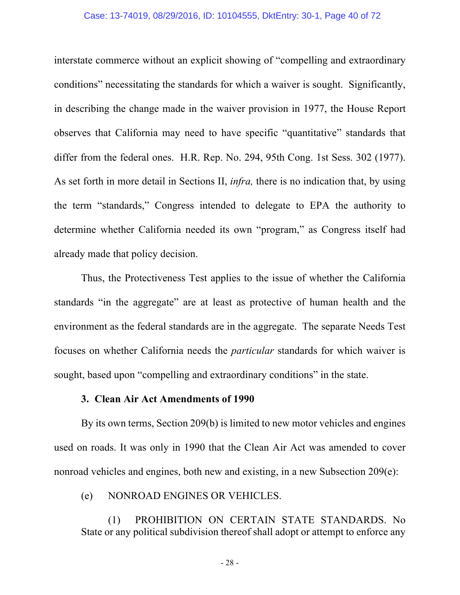#### Case: 13-74019, 08/29/2016, ID: 10104555, DktEntry: 30-1, Page 40 of 72

interstate commerce without an explicit showing of "compelling and extraordinary conditions" necessitating the standards for which a waiver is sought. Significantly, in describing the change made in the waiver provision in 1977, the House Report observes that California may need to have specific "quantitative" standards that differ from the federal ones. H.R. Rep. No. 294, 95th Cong. 1st Sess. 302 (1977). As set forth in more detail in Sections II, *infra,* there is no indication that, by using the term "standards," Congress intended to delegate to EPA the authority to determine whether California needed its own "program," as Congress itself had already made that policy decision.

Thus, the Protectiveness Test applies to the issue of whether the California standards "in the aggregate" are at least as protective of human health and the environment as the federal standards are in the aggregate. The separate Needs Test focuses on whether California needs the *particular* standards for which waiver is sought, based upon "compelling and extraordinary conditions" in the state.

### **3. Clean Air Act Amendments of 1990**

By its own terms, Section 209(b) is limited to new motor vehicles and engines used on roads. It was only in 1990 that the Clean Air Act was amended to cover nonroad vehicles and engines, both new and existing, in a new Subsection 209(e):

### (e) NONROAD ENGINES OR VEHICLES.

(1) PROHIBITION ON CERTAIN STATE STANDARDS. No State or any political subdivision thereof shall adopt or attempt to enforce any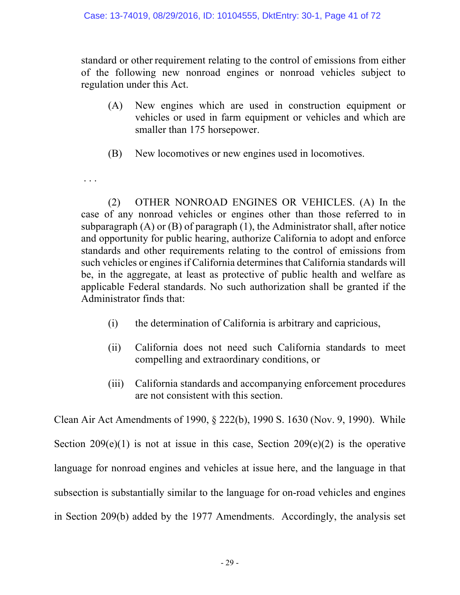standard or other requirement relating to the control of emissions from either of the following new nonroad engines or nonroad vehicles subject to regulation under this Act.

- (A) New engines which are used in construction equipment or vehicles or used in farm equipment or vehicles and which are smaller than 175 horsepower.
- (B) New locomotives or new engines used in locomotives.

. . .

(2) OTHER NONROAD ENGINES OR VEHICLES. (A) In the case of any nonroad vehicles or engines other than those referred to in subparagraph (A) or (B) of paragraph (1), the Administrator shall, after notice and opportunity for public hearing, authorize California to adopt and enforce standards and other requirements relating to the control of emissions from such vehicles or engines if California determines that California standards will be, in the aggregate, at least as protective of public health and welfare as applicable Federal standards. No such authorization shall be granted if the Administrator finds that:

- (i) the determination of California is arbitrary and capricious,
- (ii) California does not need such California standards to meet compelling and extraordinary conditions, or
- (iii) California standards and accompanying enforcement procedures are not consistent with this section.

Clean Air Act Amendments of 1990, § 222(b), 1990 S. 1630 (Nov. 9, 1990). While Section  $209(e)(1)$  is not at issue in this case, Section  $209(e)(2)$  is the operative language for nonroad engines and vehicles at issue here, and the language in that subsection is substantially similar to the language for on-road vehicles and engines in Section 209(b) added by the 1977 Amendments. Accordingly, the analysis set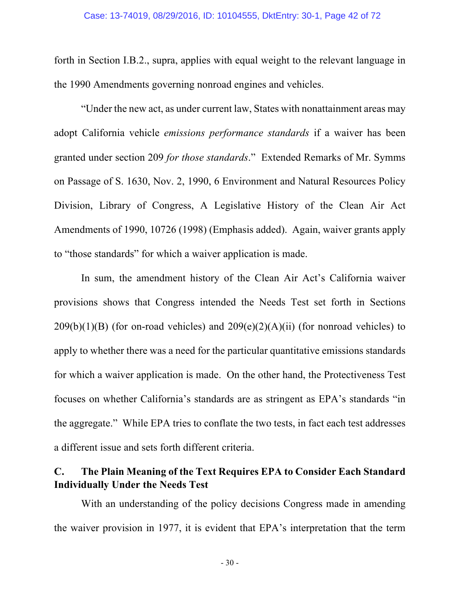forth in Section I.B.2., supra, applies with equal weight to the relevant language in the 1990 Amendments governing nonroad engines and vehicles.

"Under the new act, as under current law, States with nonattainment areas may adopt California vehicle *emissions performance standards* if a waiver has been granted under section 209 *for those standards*." Extended Remarks of Mr. Symms on Passage of S. 1630, Nov. 2, 1990, 6 Environment and Natural Resources Policy Division, Library of Congress, A Legislative History of the Clean Air Act Amendments of 1990, 10726 (1998) (Emphasis added). Again, waiver grants apply to "those standards" for which a waiver application is made.

In sum, the amendment history of the Clean Air Act's California waiver provisions shows that Congress intended the Needs Test set forth in Sections  $209(b)(1)(B)$  (for on-road vehicles) and  $209(e)(2)(A)(ii)$  (for nonroad vehicles) to apply to whether there was a need for the particular quantitative emissions standards for which a waiver application is made. On the other hand, the Protectiveness Test focuses on whether California's standards are as stringent as EPA's standards "in the aggregate." While EPA tries to conflate the two tests, in fact each test addresses a different issue and sets forth different criteria.

# **C. The Plain Meaning of the Text Requires EPA to Consider Each Standard Individually Under the Needs Test**

With an understanding of the policy decisions Congress made in amending the waiver provision in 1977, it is evident that EPA's interpretation that the term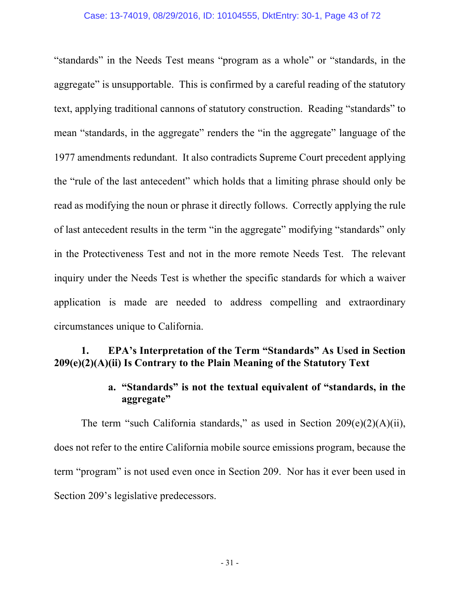### Case: 13-74019, 08/29/2016, ID: 10104555, DktEntry: 30-1, Page 43 of 72

"standards" in the Needs Test means "program as a whole" or "standards, in the aggregate" is unsupportable. This is confirmed by a careful reading of the statutory text, applying traditional cannons of statutory construction. Reading "standards" to mean "standards, in the aggregate" renders the "in the aggregate" language of the 1977 amendments redundant. It also contradicts Supreme Court precedent applying the "rule of the last antecedent" which holds that a limiting phrase should only be read as modifying the noun or phrase it directly follows. Correctly applying the rule of last antecedent results in the term "in the aggregate" modifying "standards" only in the Protectiveness Test and not in the more remote Needs Test. The relevant inquiry under the Needs Test is whether the specific standards for which a waiver application is made are needed to address compelling and extraordinary circumstances unique to California.

# **1. EPA's Interpretation of the Term "Standards" As Used in Section 209(e)(2)(A)(ii) Is Contrary to the Plain Meaning of the Statutory Text**

# **a. "Standards" is not the textual equivalent of "standards, in the aggregate"**

The term "such California standards," as used in Section  $209(e)(2)(A)(ii)$ , does not refer to the entire California mobile source emissions program, because the term "program" is not used even once in Section 209. Nor has it ever been used in Section 209's legislative predecessors.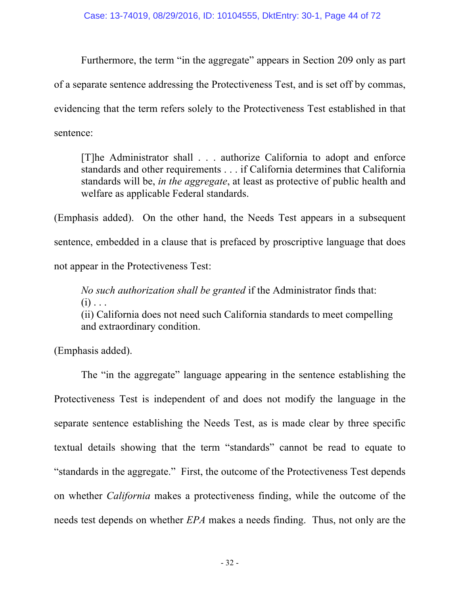Furthermore, the term "in the aggregate" appears in Section 209 only as part of a separate sentence addressing the Protectiveness Test, and is set off by commas, evidencing that the term refers solely to the Protectiveness Test established in that sentence:

[T]he Administrator shall . . . authorize California to adopt and enforce standards and other requirements . . . if California determines that California standards will be, *in the aggregate*, at least as protective of public health and welfare as applicable Federal standards.

(Emphasis added). On the other hand, the Needs Test appears in a subsequent sentence, embedded in a clause that is prefaced by proscriptive language that does not appear in the Protectiveness Test:

*No such authorization shall be granted* if the Administrator finds that:  $(i)$ ...

(ii) California does not need such California standards to meet compelling and extraordinary condition.

(Emphasis added).

The "in the aggregate" language appearing in the sentence establishing the Protectiveness Test is independent of and does not modify the language in the separate sentence establishing the Needs Test, as is made clear by three specific textual details showing that the term "standards" cannot be read to equate to "standards in the aggregate." First, the outcome of the Protectiveness Test depends on whether *California* makes a protectiveness finding, while the outcome of the needs test depends on whether *EPA* makes a needs finding. Thus, not only are the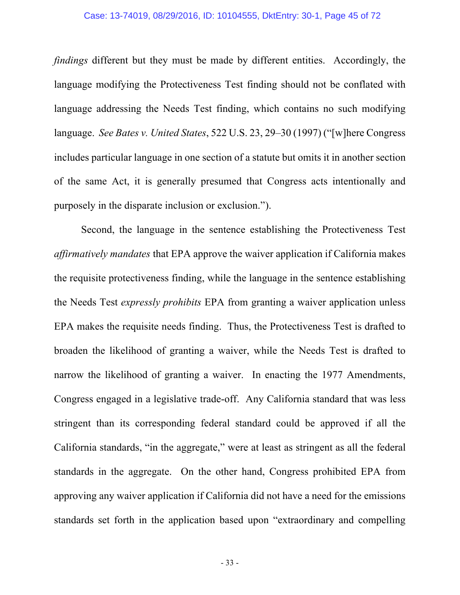### Case: 13-74019, 08/29/2016, ID: 10104555, DktEntry: 30-1, Page 45 of 72

*findings* different but they must be made by different entities. Accordingly, the language modifying the Protectiveness Test finding should not be conflated with language addressing the Needs Test finding, which contains no such modifying language. *See Bates v. United States*, 522 U.S. 23, 29–30 (1997) ("[w]here Congress includes particular language in one section of a statute but omits it in another section of the same Act, it is generally presumed that Congress acts intentionally and purposely in the disparate inclusion or exclusion.").

Second, the language in the sentence establishing the Protectiveness Test *affirmatively mandates* that EPA approve the waiver application if California makes the requisite protectiveness finding, while the language in the sentence establishing the Needs Test *expressly prohibits* EPA from granting a waiver application unless EPA makes the requisite needs finding. Thus, the Protectiveness Test is drafted to broaden the likelihood of granting a waiver, while the Needs Test is drafted to narrow the likelihood of granting a waiver. In enacting the 1977 Amendments, Congress engaged in a legislative trade-off. Any California standard that was less stringent than its corresponding federal standard could be approved if all the California standards, "in the aggregate," were at least as stringent as all the federal standards in the aggregate. On the other hand, Congress prohibited EPA from approving any waiver application if California did not have a need for the emissions standards set forth in the application based upon "extraordinary and compelling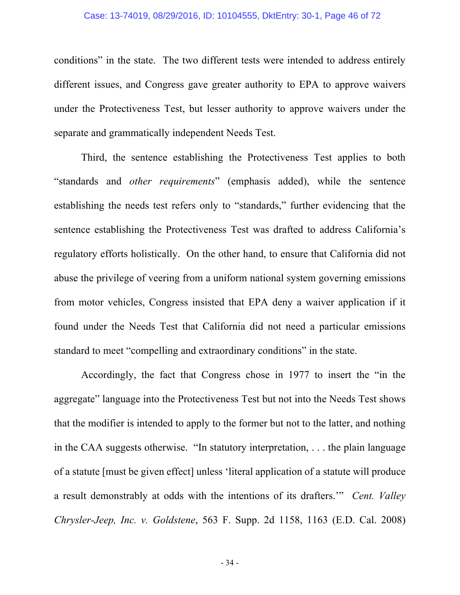#### Case: 13-74019, 08/29/2016, ID: 10104555, DktEntry: 30-1, Page 46 of 72

conditions" in the state. The two different tests were intended to address entirely different issues, and Congress gave greater authority to EPA to approve waivers under the Protectiveness Test, but lesser authority to approve waivers under the separate and grammatically independent Needs Test.

Third, the sentence establishing the Protectiveness Test applies to both "standards and *other requirements*" (emphasis added), while the sentence establishing the needs test refers only to "standards," further evidencing that the sentence establishing the Protectiveness Test was drafted to address California's regulatory efforts holistically. On the other hand, to ensure that California did not abuse the privilege of veering from a uniform national system governing emissions from motor vehicles, Congress insisted that EPA deny a waiver application if it found under the Needs Test that California did not need a particular emissions standard to meet "compelling and extraordinary conditions" in the state.

Accordingly, the fact that Congress chose in 1977 to insert the "in the aggregate" language into the Protectiveness Test but not into the Needs Test shows that the modifier is intended to apply to the former but not to the latter, and nothing in the CAA suggests otherwise. "In statutory interpretation, . . . the plain language of a statute [must be given effect] unless 'literal application of a statute will produce a result demonstrably at odds with the intentions of its drafters.'" *Cent. Valley Chrysler-Jeep, Inc. v. Goldstene*, 563 F. Supp. 2d 1158, 1163 (E.D. Cal. 2008)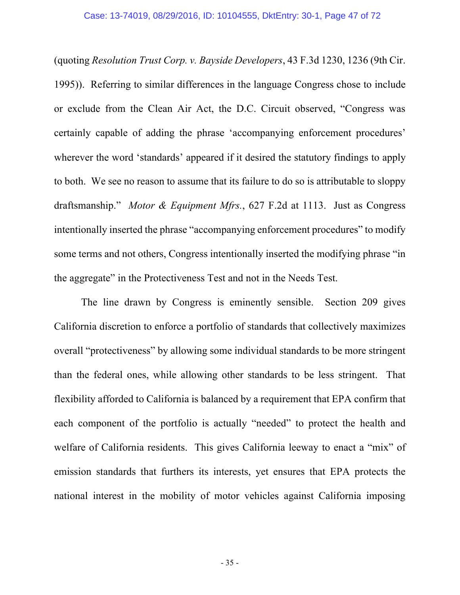(quoting *Resolution Trust Corp. v. Bayside Developers*, 43 F.3d 1230, 1236 (9th Cir. 1995)). Referring to similar differences in the language Congress chose to include or exclude from the Clean Air Act, the D.C. Circuit observed, "Congress was certainly capable of adding the phrase 'accompanying enforcement procedures' wherever the word 'standards' appeared if it desired the statutory findings to apply to both. We see no reason to assume that its failure to do so is attributable to sloppy draftsmanship." *Motor & Equipment Mfrs.*, 627 F.2d at 1113. Just as Congress intentionally inserted the phrase "accompanying enforcement procedures" to modify some terms and not others, Congress intentionally inserted the modifying phrase "in the aggregate" in the Protectiveness Test and not in the Needs Test.

The line drawn by Congress is eminently sensible. Section 209 gives California discretion to enforce a portfolio of standards that collectively maximizes overall "protectiveness" by allowing some individual standards to be more stringent than the federal ones, while allowing other standards to be less stringent. That flexibility afforded to California is balanced by a requirement that EPA confirm that each component of the portfolio is actually "needed" to protect the health and welfare of California residents. This gives California leeway to enact a "mix" of emission standards that furthers its interests, yet ensures that EPA protects the national interest in the mobility of motor vehicles against California imposing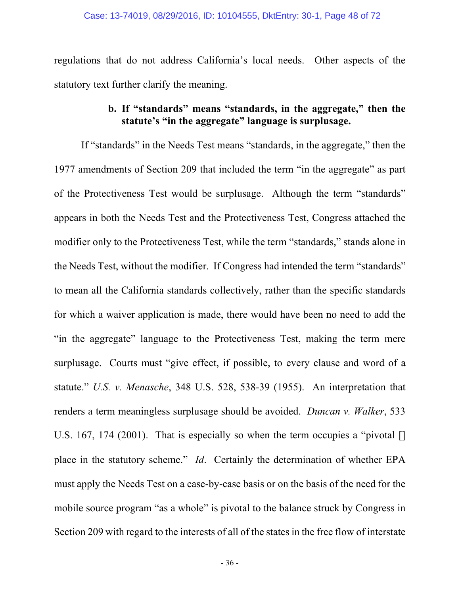regulations that do not address California's local needs. Other aspects of the statutory text further clarify the meaning.

# **b. If "standards" means "standards, in the aggregate," then the statute's "in the aggregate" language is surplusage.**

If "standards" in the Needs Test means "standards, in the aggregate," then the 1977 amendments of Section 209 that included the term "in the aggregate" as part of the Protectiveness Test would be surplusage. Although the term "standards" appears in both the Needs Test and the Protectiveness Test, Congress attached the modifier only to the Protectiveness Test, while the term "standards," stands alone in the Needs Test, without the modifier. If Congress had intended the term "standards" to mean all the California standards collectively, rather than the specific standards for which a waiver application is made, there would have been no need to add the "in the aggregate" language to the Protectiveness Test, making the term mere surplusage. Courts must "give effect, if possible, to every clause and word of a statute." *U.S. v. Menasche*, 348 U.S. 528, 538-39 (1955). An interpretation that renders a term meaningless surplusage should be avoided. *Duncan v. Walker*, 533 U.S. 167, 174 (2001). That is especially so when the term occupies a "pivotal [] place in the statutory scheme." *Id*. Certainly the determination of whether EPA must apply the Needs Test on a case-by-case basis or on the basis of the need for the mobile source program "as a whole" is pivotal to the balance struck by Congress in Section 209 with regard to the interests of all of the states in the free flow of interstate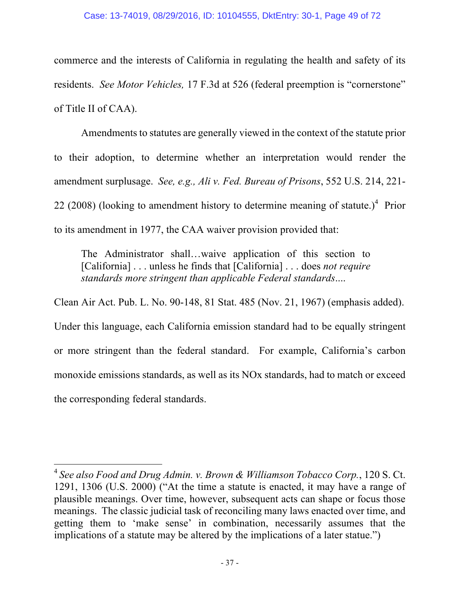commerce and the interests of California in regulating the health and safety of its residents. *See Motor Vehicles,* 17 F.3d at 526 (federal preemption is "cornerstone" of Title II of CAA).

Amendments to statutes are generally viewed in the context of the statute prior to their adoption, to determine whether an interpretation would render the amendment surplusage. *See, e.g., Ali v. Fed. Bureau of Prisons*, 552 U.S. 214, 221- 22 (2008) (looking to amendment history to determine meaning of statute.)<sup>4</sup> Prior to its amendment in 1977, the CAA waiver provision provided that:

The Administrator shall…waive application of this section to [California] . . . unless he finds that [California] . . . does *not require standards more stringent than applicable Federal standards*....

Clean Air Act. Pub. L. No. 90-148, 81 Stat. 485 (Nov. 21, 1967) (emphasis added). Under this language, each California emission standard had to be equally stringent or more stringent than the federal standard. For example, California's carbon monoxide emissions standards, as well as its NOx standards, had to match or exceed

<u> 1989 - Johann Barn, mars ann an t-Amhain an t-Amhain an t-Amhain an t-Amhain an t-Amhain an t-Amhain an t-Amh</u>

the corresponding federal standards.

<sup>4</sup> *See also Food and Drug Admin. v. Brown & Williamson Tobacco Corp.*, 120 S. Ct. 1291, 1306 (U.S. 2000) ("At the time a statute is enacted, it may have a range of plausible meanings. Over time, however, subsequent acts can shape or focus those meanings. The classic judicial task of reconciling many laws enacted over time, and getting them to 'make sense' in combination, necessarily assumes that the implications of a statute may be altered by the implications of a later statue.")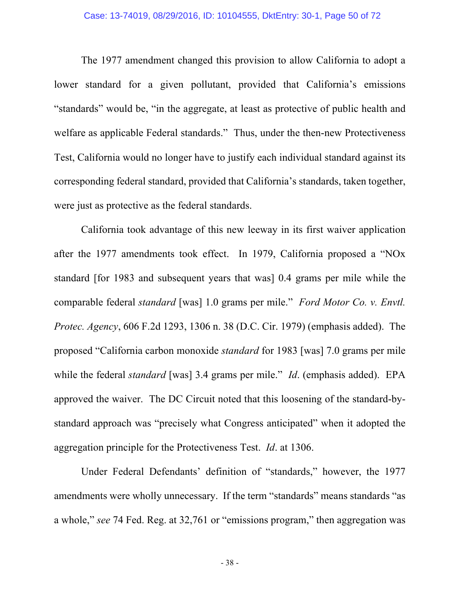#### Case: 13-74019, 08/29/2016, ID: 10104555, DktEntry: 30-1, Page 50 of 72

The 1977 amendment changed this provision to allow California to adopt a lower standard for a given pollutant, provided that California's emissions "standards" would be, "in the aggregate, at least as protective of public health and welfare as applicable Federal standards." Thus, under the then-new Protectiveness Test, California would no longer have to justify each individual standard against its corresponding federal standard, provided that California's standards, taken together, were just as protective as the federal standards.

California took advantage of this new leeway in its first waiver application after the 1977 amendments took effect. In 1979, California proposed a "NOx standard [for 1983 and subsequent years that was] 0.4 grams per mile while the comparable federal *standard* [was] 1.0 grams per mile." *Ford Motor Co. v. Envtl. Protec. Agency*, 606 F.2d 1293, 1306 n. 38 (D.C. Cir. 1979) (emphasis added). The proposed "California carbon monoxide *standard* for 1983 [was] 7.0 grams per mile while the federal *standard* [was] 3.4 grams per mile." *Id*. (emphasis added). EPA approved the waiver. The DC Circuit noted that this loosening of the standard-bystandard approach was "precisely what Congress anticipated" when it adopted the aggregation principle for the Protectiveness Test. *Id*. at 1306.

Under Federal Defendants' definition of "standards," however, the 1977 amendments were wholly unnecessary. If the term "standards" means standards "as a whole," *see* 74 Fed. Reg. at 32,761 or "emissions program," then aggregation was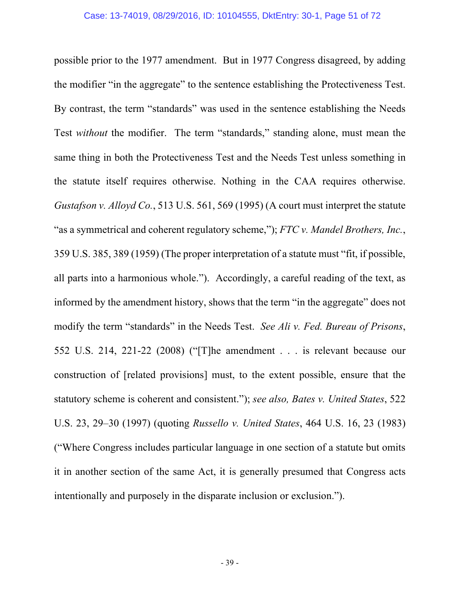possible prior to the 1977 amendment. But in 1977 Congress disagreed, by adding the modifier "in the aggregate" to the sentence establishing the Protectiveness Test. By contrast, the term "standards" was used in the sentence establishing the Needs Test *without* the modifier. The term "standards," standing alone, must mean the same thing in both the Protectiveness Test and the Needs Test unless something in the statute itself requires otherwise. Nothing in the CAA requires otherwise. *Gustafson v. Alloyd Co.*, 513 U.S. 561, 569 (1995) (A court must interpret the statute "as a symmetrical and coherent regulatory scheme,"); *FTC v. Mandel Brothers, Inc.*, 359 U.S. 385, 389 (1959) (The proper interpretation of a statute must "fit, if possible, all parts into a harmonious whole."). Accordingly, a careful reading of the text, as informed by the amendment history, shows that the term "in the aggregate" does not modify the term "standards" in the Needs Test. *See Ali v. Fed. Bureau of Prisons*, 552 U.S. 214, 221-22 (2008) ("[T]he amendment . . . is relevant because our construction of [related provisions] must, to the extent possible, ensure that the statutory scheme is coherent and consistent."); *see also, Bates v. United States*, 522 U.S. 23, 29–30 (1997) (quoting *Russello v. United States*, 464 U.S. 16, 23 (1983) ("Where Congress includes particular language in one section of a statute but omits it in another section of the same Act, it is generally presumed that Congress acts intentionally and purposely in the disparate inclusion or exclusion.").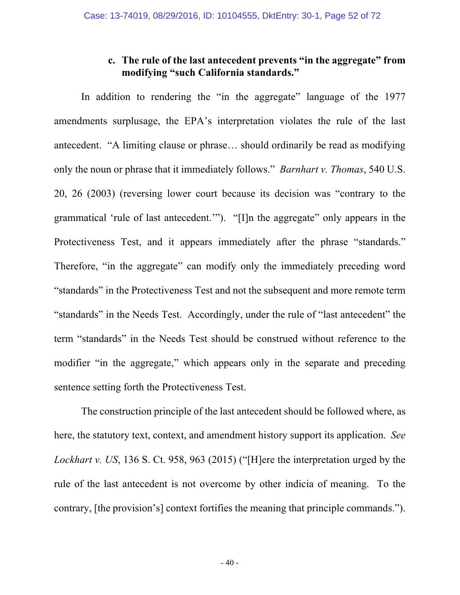## **c. The rule of the last antecedent prevents "in the aggregate" from modifying "such California standards."**

In addition to rendering the "in the aggregate" language of the 1977 amendments surplusage, the EPA's interpretation violates the rule of the last antecedent. "A limiting clause or phrase… should ordinarily be read as modifying only the noun or phrase that it immediately follows." *Barnhart v. Thomas*, 540 U.S. 20, 26 (2003) (reversing lower court because its decision was "contrary to the grammatical 'rule of last antecedent.'"). "[I]n the aggregate" only appears in the Protectiveness Test, and it appears immediately after the phrase "standards." Therefore, "in the aggregate" can modify only the immediately preceding word "standards" in the Protectiveness Test and not the subsequent and more remote term "standards" in the Needs Test. Accordingly, under the rule of "last antecedent" the term "standards" in the Needs Test should be construed without reference to the modifier "in the aggregate," which appears only in the separate and preceding sentence setting forth the Protectiveness Test.

The construction principle of the last antecedent should be followed where, as here, the statutory text, context, and amendment history support its application. *See Lockhart v. US*, 136 S. Ct. 958, 963 (2015) ("[H]ere the interpretation urged by the rule of the last antecedent is not overcome by other indicia of meaning. To the contrary, [the provision's] context fortifies the meaning that principle commands.").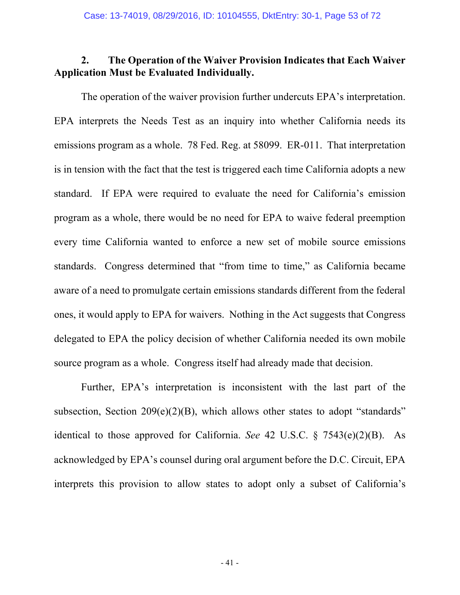## **2. The Operation of the Waiver Provision Indicates that Each Waiver Application Must be Evaluated Individually.**

The operation of the waiver provision further undercuts EPA's interpretation. EPA interprets the Needs Test as an inquiry into whether California needs its emissions program as a whole. 78 Fed. Reg. at 58099. ER-011. That interpretation is in tension with the fact that the test is triggered each time California adopts a new standard. If EPA were required to evaluate the need for California's emission program as a whole, there would be no need for EPA to waive federal preemption every time California wanted to enforce a new set of mobile source emissions standards. Congress determined that "from time to time," as California became aware of a need to promulgate certain emissions standards different from the federal ones, it would apply to EPA for waivers. Nothing in the Act suggests that Congress delegated to EPA the policy decision of whether California needed its own mobile source program as a whole. Congress itself had already made that decision.

Further, EPA's interpretation is inconsistent with the last part of the subsection, Section 209(e)(2)(B), which allows other states to adopt "standards" identical to those approved for California. *See* 42 U.S.C. § 7543(e)(2)(B). As acknowledged by EPA's counsel during oral argument before the D.C. Circuit, EPA interprets this provision to allow states to adopt only a subset of California's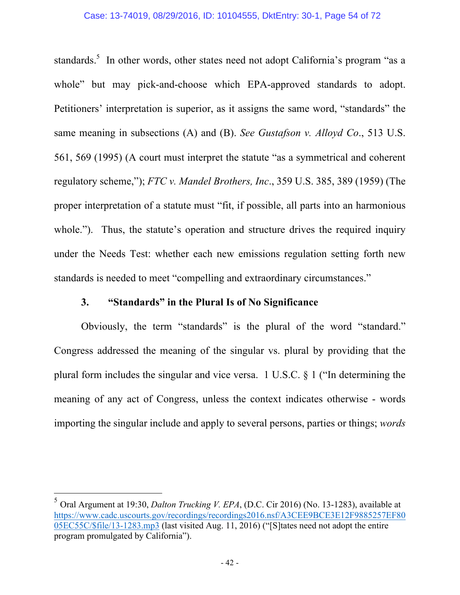standards.<sup>5</sup> In other words, other states need not adopt California's program "as a whole" but may pick-and-choose which EPA-approved standards to adopt. Petitioners' interpretation is superior, as it assigns the same word, "standards" the same meaning in subsections (A) and (B). *See Gustafson v. Alloyd Co*., 513 U.S. 561, 569 (1995) (A court must interpret the statute "as a symmetrical and coherent regulatory scheme,"); *FTC v. Mandel Brothers, Inc*., 359 U.S. 385, 389 (1959) (The proper interpretation of a statute must "fit, if possible, all parts into an harmonious whole."). Thus, the statute's operation and structure drives the required inquiry under the Needs Test: whether each new emissions regulation setting forth new standards is needed to meet "compelling and extraordinary circumstances."

## **3. "Standards" in the Plural Is of No Significance**

Obviously, the term "standards" is the plural of the word "standard." Congress addressed the meaning of the singular vs. plural by providing that the plural form includes the singular and vice versa. 1 U.S.C. § 1 ("In determining the meaning of any act of Congress, unless the context indicates otherwise - words importing the singular include and apply to several persons, parties or things; *words* 

<u> 1989 - Johann Barn, mars ann an t-Amhain an t-Amhain an t-Amhain an t-Amhain an t-Amhain an t-Amhain an t-Amh</u>

<sup>5</sup> Oral Argument at 19:30, *Dalton Trucking V. EPA*, (D.C. Cir 2016) (No. 13-1283), available at https://www.cadc.uscourts.gov/recordings/recordings2016.nsf/A3CEE9BCE3E12F9885257EF80 05EC55C/\$file/13-1283.mp3 (last visited Aug. 11, 2016) ("[S]tates need not adopt the entire program promulgated by California").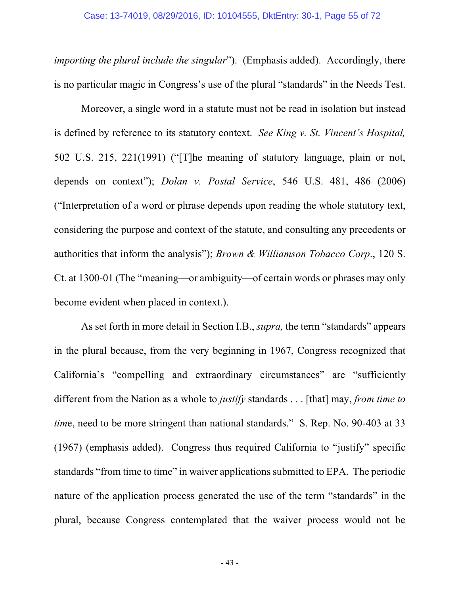*importing the plural include the singular*"). (Emphasis added). Accordingly, there is no particular magic in Congress's use of the plural "standards" in the Needs Test.

Moreover, a single word in a statute must not be read in isolation but instead is defined by reference to its statutory context. *See King v. St. Vincent's Hospital,* 502 U.S. 215, 221(1991) ("[T]he meaning of statutory language, plain or not, depends on context"); *Dolan v. Postal Service*, 546 U.S. 481, 486 (2006) ("Interpretation of a word or phrase depends upon reading the whole statutory text, considering the purpose and context of the statute, and consulting any precedents or authorities that inform the analysis"); *Brown & Williamson Tobacco Corp*., 120 S. Ct. at 1300-01 (The "meaning—or ambiguity—of certain words or phrases may only become evident when placed in context.).

As set forth in more detail in Section I.B., *supra,* the term "standards" appears in the plural because, from the very beginning in 1967, Congress recognized that California's "compelling and extraordinary circumstances" are "sufficiently different from the Nation as a whole to *justify* standards . . . [that] may, *from time to tim*e, need to be more stringent than national standards." S. Rep. No. 90-403 at 33 (1967) (emphasis added). Congress thus required California to "justify" specific standards "from time to time" in waiver applications submitted to EPA. The periodic nature of the application process generated the use of the term "standards" in the plural, because Congress contemplated that the waiver process would not be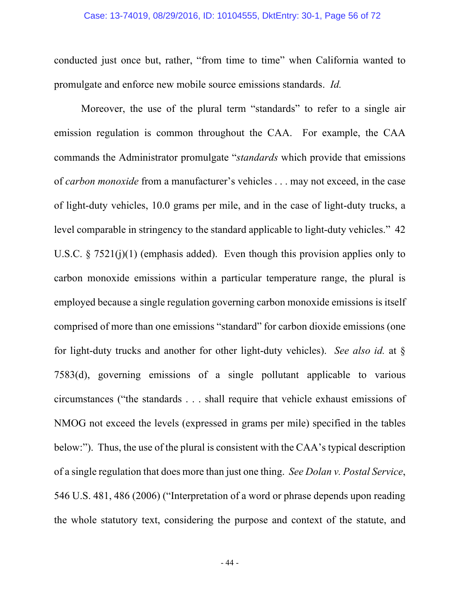### Case: 13-74019, 08/29/2016, ID: 10104555, DktEntry: 30-1, Page 56 of 72

conducted just once but, rather, "from time to time" when California wanted to promulgate and enforce new mobile source emissions standards. *Id.*

Moreover, the use of the plural term "standards" to refer to a single air emission regulation is common throughout the CAA. For example, the CAA commands the Administrator promulgate "*standards* which provide that emissions of *carbon monoxide* from a manufacturer's vehicles . . . may not exceed, in the case of light-duty vehicles, 10.0 grams per mile, and in the case of light-duty trucks, a level comparable in stringency to the standard applicable to light-duty vehicles." 42 U.S.C. § 7521(j)(1) (emphasis added). Even though this provision applies only to carbon monoxide emissions within a particular temperature range, the plural is employed because a single regulation governing carbon monoxide emissions is itself comprised of more than one emissions "standard" for carbon dioxide emissions (one for light-duty trucks and another for other light-duty vehicles). *See also id.* at § 7583(d), governing emissions of a single pollutant applicable to various circumstances ("the standards . . . shall require that vehicle exhaust emissions of NMOG not exceed the levels (expressed in grams per mile) specified in the tables below:"). Thus, the use of the plural is consistent with the CAA's typical description of a single regulation that does more than just one thing. *See Dolan v. Postal Service*, 546 U.S. 481, 486 (2006) ("Interpretation of a word or phrase depends upon reading the whole statutory text, considering the purpose and context of the statute, and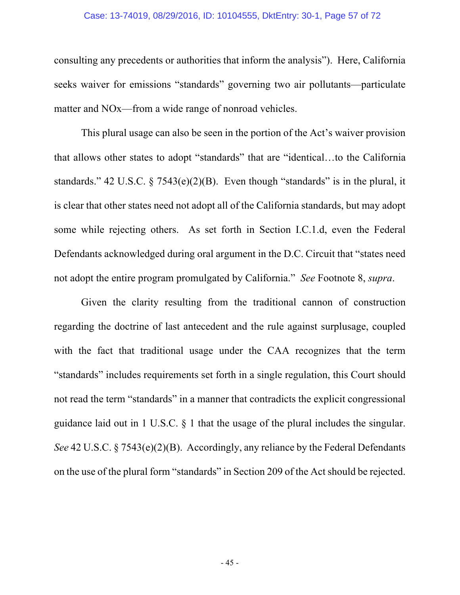### Case: 13-74019, 08/29/2016, ID: 10104555, DktEntry: 30-1, Page 57 of 72

consulting any precedents or authorities that inform the analysis"). Here, California seeks waiver for emissions "standards" governing two air pollutants—particulate matter and NOx—from a wide range of nonroad vehicles.

This plural usage can also be seen in the portion of the Act's waiver provision that allows other states to adopt "standards" that are "identical…to the California standards." 42 U.S.C.  $\frac{5}{7543(e)(2)(B)}$ . Even though "standards" is in the plural, it is clear that other states need not adopt all of the California standards, but may adopt some while rejecting others. As set forth in Section I.C.1.d, even the Federal Defendants acknowledged during oral argument in the D.C. Circuit that "states need not adopt the entire program promulgated by California." *See* Footnote 8, *supra*.

Given the clarity resulting from the traditional cannon of construction regarding the doctrine of last antecedent and the rule against surplusage, coupled with the fact that traditional usage under the CAA recognizes that the term "standards" includes requirements set forth in a single regulation, this Court should not read the term "standards" in a manner that contradicts the explicit congressional guidance laid out in 1 U.S.C. § 1 that the usage of the plural includes the singular. *See* 42 U.S.C. § 7543(e)(2)(B). Accordingly, any reliance by the Federal Defendants on the use of the plural form "standards" in Section 209 of the Act should be rejected.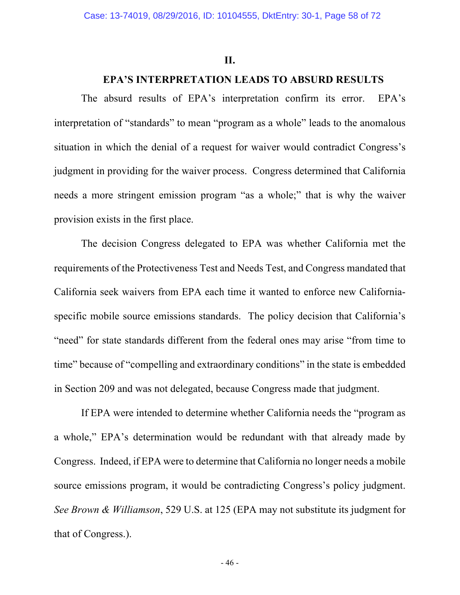### **II.**

## **EPA'S INTERPRETATION LEADS TO ABSURD RESULTS**

The absurd results of EPA's interpretation confirm its error. EPA's interpretation of "standards" to mean "program as a whole" leads to the anomalous situation in which the denial of a request for waiver would contradict Congress's judgment in providing for the waiver process. Congress determined that California needs a more stringent emission program "as a whole;" that is why the waiver provision exists in the first place.

The decision Congress delegated to EPA was whether California met the requirements of the Protectiveness Test and Needs Test, and Congress mandated that California seek waivers from EPA each time it wanted to enforce new Californiaspecific mobile source emissions standards. The policy decision that California's "need" for state standards different from the federal ones may arise "from time to time" because of "compelling and extraordinary conditions" in the state is embedded in Section 209 and was not delegated, because Congress made that judgment.

If EPA were intended to determine whether California needs the "program as a whole," EPA's determination would be redundant with that already made by Congress. Indeed, if EPA were to determine that California no longer needs a mobile source emissions program, it would be contradicting Congress's policy judgment. *See Brown & Williamson*, 529 U.S. at 125 (EPA may not substitute its judgment for that of Congress.).

- 46 -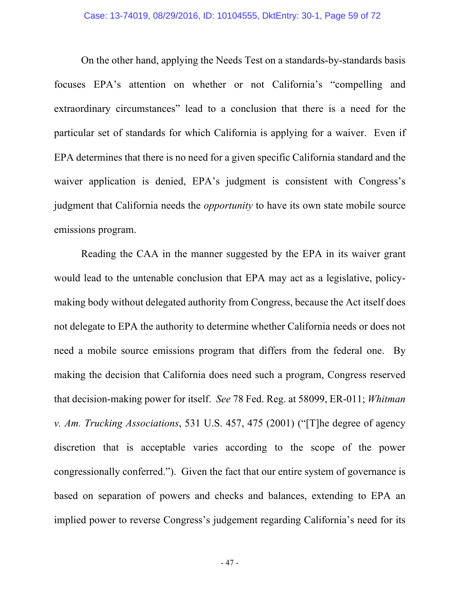On the other hand, applying the Needs Test on a standards-by-standards basis focuses EPA's attention on whether or not California's "compelling and extraordinary circumstances" lead to a conclusion that there is a need for the particular set of standards for which California is applying for a waiver. Even if EPA determines that there is no need for a given specific California standard and the waiver application is denied, EPA's judgment is consistent with Congress's judgment that California needs the *opportunity* to have its own state mobile source emissions program.

Reading the CAA in the manner suggested by the EPA in its waiver grant would lead to the untenable conclusion that EPA may act as a legislative, policymaking body without delegated authority from Congress, because the Act itself does not delegate to EPA the authority to determine whether California needs or does not need a mobile source emissions program that differs from the federal one. By making the decision that California does need such a program, Congress reserved that decision-making power for itself. *See* 78 Fed. Reg. at 58099, ER-011; *Whitman v. Am. Trucking Associations*, 531 U.S. 457, 475 (2001) ("[T]he degree of agency discretion that is acceptable varies according to the scope of the power congressionally conferred."). Given the fact that our entire system of governance is based on separation of powers and checks and balances, extending to EPA an implied power to reverse Congress's judgement regarding California's need for its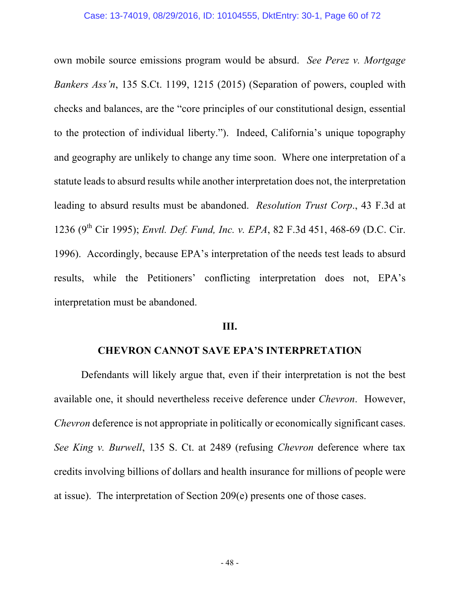own mobile source emissions program would be absurd. *See Perez v. Mortgage Bankers Ass'n*, 135 S.Ct. 1199, 1215 (2015) (Separation of powers, coupled with checks and balances, are the "core principles of our constitutional design, essential to the protection of individual liberty."). Indeed, California's unique topography and geography are unlikely to change any time soon. Where one interpretation of a statute leads to absurd results while another interpretation does not, the interpretation leading to absurd results must be abandoned. *Resolution Trust Corp*., 43 F.3d at 1236 (9<sup>th</sup> Cir 1995); *Envtl. Def. Fund, Inc. v. EPA*, 82 F.3d 451, 468-69 (D.C. Cir. 1996). Accordingly, because EPA's interpretation of the needs test leads to absurd results, while the Petitioners' conflicting interpretation does not, EPA's interpretation must be abandoned.

### **III.**

## **CHEVRON CANNOT SAVE EPA'S INTERPRETATION**

Defendants will likely argue that, even if their interpretation is not the best available one, it should nevertheless receive deference under *Chevron*. However, *Chevron* deference is not appropriate in politically or economically significant cases. *See King v. Burwell*, 135 S. Ct. at 2489 (refusing *Chevron* deference where tax credits involving billions of dollars and health insurance for millions of people were at issue). The interpretation of Section 209(e) presents one of those cases.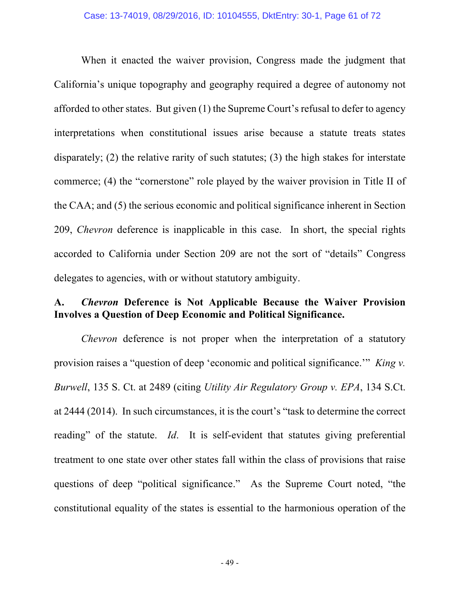When it enacted the waiver provision, Congress made the judgment that California's unique topography and geography required a degree of autonomy not afforded to other states. But given (1) the Supreme Court's refusal to defer to agency interpretations when constitutional issues arise because a statute treats states disparately; (2) the relative rarity of such statutes; (3) the high stakes for interstate commerce; (4) the "cornerstone" role played by the waiver provision in Title II of the CAA; and (5) the serious economic and political significance inherent in Section 209, *Chevron* deference is inapplicable in this case. In short, the special rights accorded to California under Section 209 are not the sort of "details" Congress delegates to agencies, with or without statutory ambiguity.

## **A.** *Chevron* **Deference is Not Applicable Because the Waiver Provision Involves a Question of Deep Economic and Political Significance.**

*Chevron* deference is not proper when the interpretation of a statutory provision raises a "question of deep 'economic and political significance.'" *King v. Burwell*, 135 S. Ct. at 2489 (citing *Utility Air Regulatory Group v. EPA*, 134 S.Ct. at 2444 (2014). In such circumstances, it is the court's "task to determine the correct reading" of the statute. *Id*. It is self-evident that statutes giving preferential treatment to one state over other states fall within the class of provisions that raise questions of deep "political significance." As the Supreme Court noted, "the constitutional equality of the states is essential to the harmonious operation of the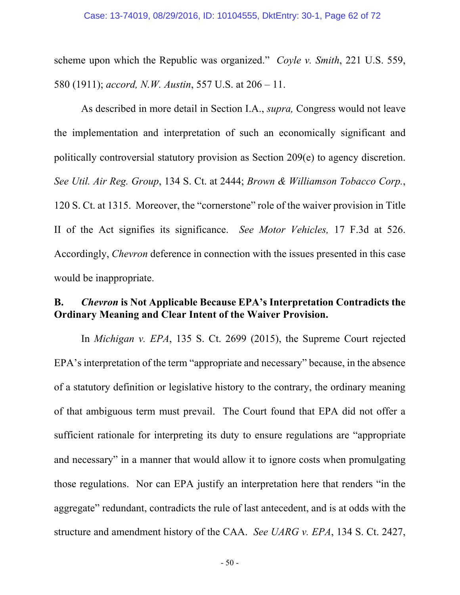scheme upon which the Republic was organized." *Coyle v. Smith*, 221 U.S. 559, 580 (1911); *accord, N.W. Austin*, 557 U.S. at 206 – 11.

As described in more detail in Section I.A., *supra,* Congress would not leave the implementation and interpretation of such an economically significant and politically controversial statutory provision as Section 209(e) to agency discretion. *See Util. Air Reg. Group*, 134 S. Ct. at 2444; *Brown & Williamson Tobacco Corp.*, 120 S. Ct. at 1315. Moreover, the "cornerstone" role of the waiver provision in Title II of the Act signifies its significance. *See Motor Vehicles,* 17 F.3d at 526. Accordingly, *Chevron* deference in connection with the issues presented in this case would be inappropriate.

## **B.** *Chevron* **is Not Applicable Because EPA's Interpretation Contradicts the Ordinary Meaning and Clear Intent of the Waiver Provision.**

In *Michigan v. EPA*, 135 S. Ct. 2699 (2015), the Supreme Court rejected EPA's interpretation of the term "appropriate and necessary" because, in the absence of a statutory definition or legislative history to the contrary, the ordinary meaning of that ambiguous term must prevail. The Court found that EPA did not offer a sufficient rationale for interpreting its duty to ensure regulations are "appropriate and necessary" in a manner that would allow it to ignore costs when promulgating those regulations. Nor can EPA justify an interpretation here that renders "in the aggregate" redundant, contradicts the rule of last antecedent, and is at odds with the structure and amendment history of the CAA. *See UARG v. EPA*, 134 S. Ct. 2427,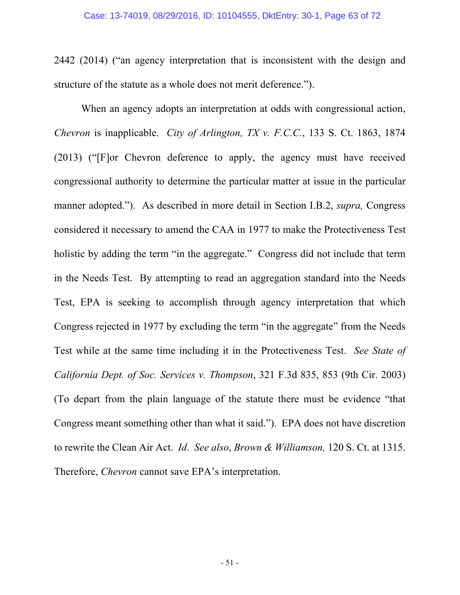2442 (2014) ("an agency interpretation that is inconsistent with the design and structure of the statute as a whole does not merit deference.").

When an agency adopts an interpretation at odds with congressional action, *Chevron* is inapplicable. *City of Arlington, TX v. F.C.C.*, 133 S. Ct. 1863, 1874 (2013) ("[F]or Chevron deference to apply, the agency must have received congressional authority to determine the particular matter at issue in the particular manner adopted."). As described in more detail in Section I.B.2, *supra,* Congress considered it necessary to amend the CAA in 1977 to make the Protectiveness Test holistic by adding the term "in the aggregate." Congress did not include that term in the Needs Test. By attempting to read an aggregation standard into the Needs Test, EPA is seeking to accomplish through agency interpretation that which Congress rejected in 1977 by excluding the term "in the aggregate" from the Needs Test while at the same time including it in the Protectiveness Test. *See State of California Dept. of Soc. Services v. Thompson*, 321 F.3d 835, 853 (9th Cir. 2003) (To depart from the plain language of the statute there must be evidence "that Congress meant something other than what it said."). EPA does not have discretion to rewrite the Clean Air Act. *Id*. *See also*, *Brown & Williamson,* 120 S. Ct. at 1315. Therefore, *Chevron* cannot save EPA's interpretation.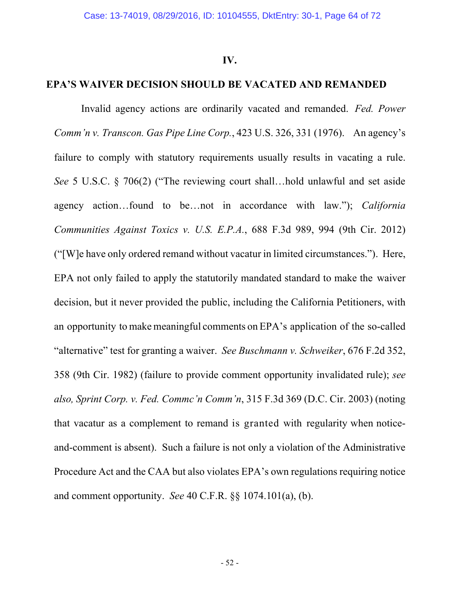### **IV.**

### **EPA'S WAIVER DECISION SHOULD BE VACATED AND REMANDED**

Invalid agency actions are ordinarily vacated and remanded. *Fed. Power Comm'n v. Transcon. Gas Pipe Line Corp.*, 423 U.S. 326, 331 (1976). An agency's failure to comply with statutory requirements usually results in vacating a rule. *See* 5 U.S.C. § 706(2) ("The reviewing court shall…hold unlawful and set aside agency action…found to be…not in accordance with law."); *California Communities Against Toxics v. U.S. E.P.A.*, 688 F.3d 989, 994 (9th Cir. 2012) ("[W]e have only ordered remand without vacatur in limited circumstances."). Here, EPA not only failed to apply the statutorily mandated standard to make the waiver decision, but it never provided the public, including the California Petitioners, with an opportunity to make meaningful comments on EPA's application of the so-called "alternative" test for granting a waiver. *See Buschmann v. Schweiker*, 676 F.2d 352, 358 (9th Cir. 1982) (failure to provide comment opportunity invalidated rule); *see also, Sprint Corp. v. Fed. Commc'n Comm'n*, 315 F.3d 369 (D.C. Cir. 2003) (noting that vacatur as a complement to remand is granted with regularity when noticeand-comment is absent). Such a failure is not only a violation of the Administrative Procedure Act and the CAA but also violates EPA's own regulations requiring notice and comment opportunity. *See* 40 C.F.R. §§ 1074.101(a), (b).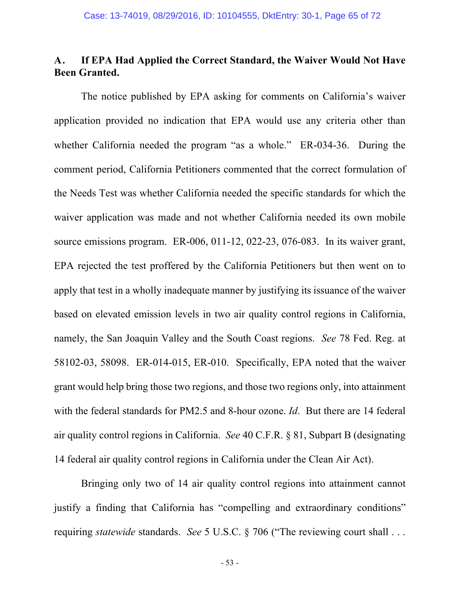# **A. If EPA Had Applied the Correct Standard, the Waiver Would Not Have Been Granted.**

The notice published by EPA asking for comments on California's waiver application provided no indication that EPA would use any criteria other than whether California needed the program "as a whole." ER-034-36. During the comment period, California Petitioners commented that the correct formulation of the Needs Test was whether California needed the specific standards for which the waiver application was made and not whether California needed its own mobile source emissions program. ER-006, 011-12, 022-23, 076-083. In its waiver grant, EPA rejected the test proffered by the California Petitioners but then went on to apply that test in a wholly inadequate manner by justifying its issuance of the waiver based on elevated emission levels in two air quality control regions in California, namely, the San Joaquin Valley and the South Coast regions. *See* 78 Fed. Reg. at 58102-03, 58098. ER-014-015, ER-010. Specifically, EPA noted that the waiver grant would help bring those two regions, and those two regions only, into attainment with the federal standards for PM2.5 and 8-hour ozone. *Id*. But there are 14 federal air quality control regions in California. *See* 40 C.F.R. § 81, Subpart B (designating 14 federal air quality control regions in California under the Clean Air Act).

Bringing only two of 14 air quality control regions into attainment cannot justify a finding that California has "compelling and extraordinary conditions" requiring *statewide* standards. *See* 5 U.S.C. § 706 ("The reviewing court shall . . .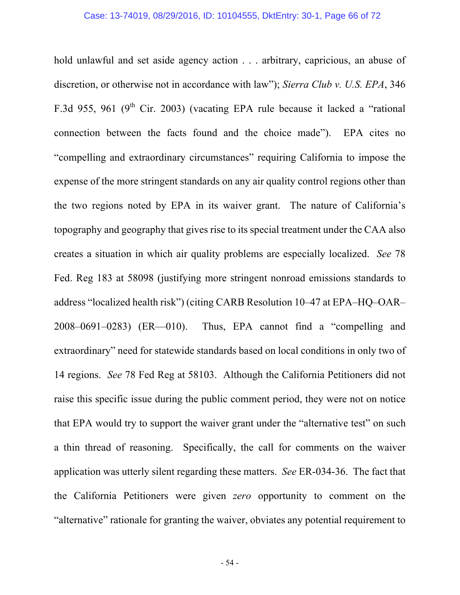hold unlawful and set aside agency action . . . arbitrary, capricious, an abuse of discretion, or otherwise not in accordance with law"); *Sierra Club v. U.S. EPA*, 346 F.3d 955, 961 (9<sup>th</sup> Cir. 2003) (vacating EPA rule because it lacked a "rational connection between the facts found and the choice made"). EPA cites no "compelling and extraordinary circumstances" requiring California to impose the expense of the more stringent standards on any air quality control regions other than the two regions noted by EPA in its waiver grant. The nature of California's topography and geography that gives rise to its special treatment under the CAA also creates a situation in which air quality problems are especially localized. *See* 78 Fed. Reg 183 at 58098 (justifying more stringent nonroad emissions standards to address "localized health risk") (citing CARB Resolution 10–47 at EPA–HQ–OAR– 2008–0691–0283) (ER—010). Thus, EPA cannot find a "compelling and extraordinary" need for statewide standards based on local conditions in only two of 14 regions. *See* 78 Fed Reg at 58103. Although the California Petitioners did not raise this specific issue during the public comment period, they were not on notice that EPA would try to support the waiver grant under the "alternative test" on such a thin thread of reasoning. Specifically, the call for comments on the waiver application was utterly silent regarding these matters. *See* ER-034-36. The fact that the California Petitioners were given *zero* opportunity to comment on the "alternative" rationale for granting the waiver, obviates any potential requirement to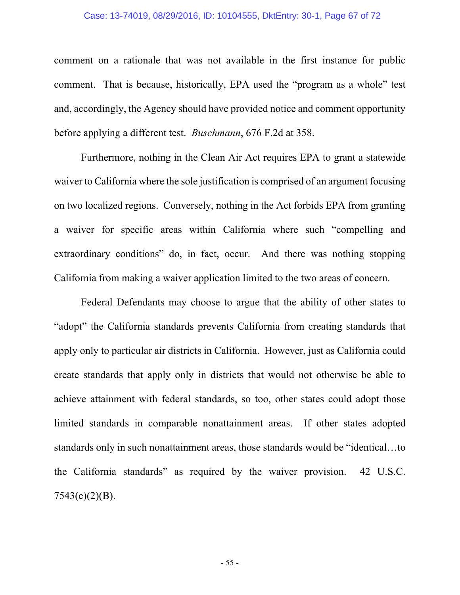### Case: 13-74019, 08/29/2016, ID: 10104555, DktEntry: 30-1, Page 67 of 72

comment on a rationale that was not available in the first instance for public comment. That is because, historically, EPA used the "program as a whole" test and, accordingly, the Agency should have provided notice and comment opportunity before applying a different test. *Buschmann*, 676 F.2d at 358.

Furthermore, nothing in the Clean Air Act requires EPA to grant a statewide waiver to California where the sole justification is comprised of an argument focusing on two localized regions. Conversely, nothing in the Act forbids EPA from granting a waiver for specific areas within California where such "compelling and extraordinary conditions" do, in fact, occur. And there was nothing stopping California from making a waiver application limited to the two areas of concern.

Federal Defendants may choose to argue that the ability of other states to "adopt" the California standards prevents California from creating standards that apply only to particular air districts in California. However, just as California could create standards that apply only in districts that would not otherwise be able to achieve attainment with federal standards, so too, other states could adopt those limited standards in comparable nonattainment areas. If other states adopted standards only in such nonattainment areas, those standards would be "identical…to the California standards" as required by the waiver provision. 42 U.S.C. 7543(e)(2)(B).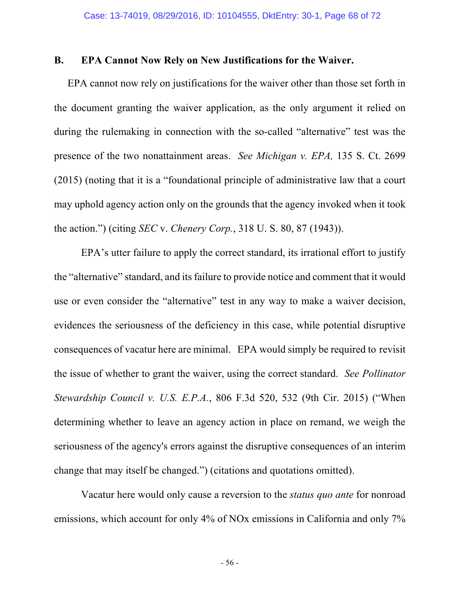## **B. EPA Cannot Now Rely on New Justifications for the Waiver.**

EPA cannot now rely on justifications for the waiver other than those set forth in the document granting the waiver application, as the only argument it relied on during the rulemaking in connection with the so-called "alternative" test was the presence of the two nonattainment areas. *See Michigan v. EPA,* 135 S. Ct. 2699 (2015) (noting that it is a "foundational principle of administrative law that a court may uphold agency action only on the grounds that the agency invoked when it took the action.") (citing *SEC* v. *Chenery Corp.*, 318 U. S. 80, 87 (1943)).

EPA's utter failure to apply the correct standard, its irrational effort to justify the "alternative" standard, and its failure to provide notice and comment that it would use or even consider the "alternative" test in any way to make a waiver decision, evidences the seriousness of the deficiency in this case, while potential disruptive consequences of vacatur here are minimal. EPA would simply be required to revisit the issue of whether to grant the waiver, using the correct standard. *See Pollinator Stewardship Council v. U.S. E.P.A.*, 806 F.3d 520, 532 (9th Cir. 2015) ("When determining whether to leave an agency action in place on remand, we weigh the seriousness of the agency's errors against the disruptive consequences of an interim change that may itself be changed.") (citations and quotations omitted).

Vacatur here would only cause a reversion to the *status quo ante* for nonroad emissions, which account for only 4% of NOx emissions in California and only 7%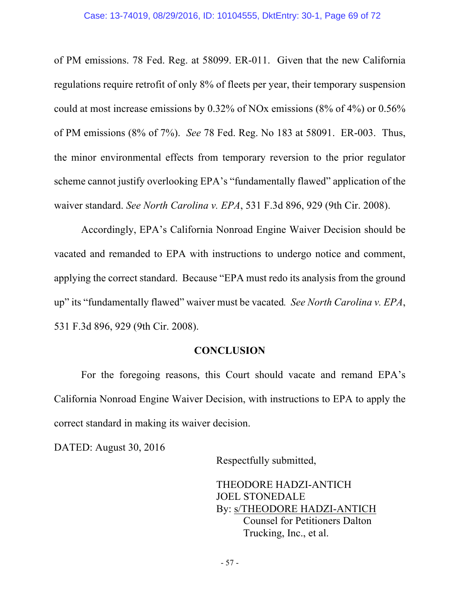of PM emissions. 78 Fed. Reg. at 58099. ER-011. Given that the new California regulations require retrofit of only 8% of fleets per year, their temporary suspension could at most increase emissions by 0.32% of NOx emissions (8% of 4%) or 0.56% of PM emissions (8% of 7%). *See* 78 Fed. Reg. No 183 at 58091. ER-003. Thus, the minor environmental effects from temporary reversion to the prior regulator scheme cannot justify overlooking EPA's "fundamentally flawed" application of the waiver standard. *See North Carolina v. EPA*, 531 F.3d 896, 929 (9th Cir. 2008).

Accordingly, EPA's California Nonroad Engine Waiver Decision should be vacated and remanded to EPA with instructions to undergo notice and comment, applying the correct standard. Because "EPA must redo its analysis from the ground up" its "fundamentally flawed" waiver must be vacated*. See North Carolina v. EPA*, 531 F.3d 896, 929 (9th Cir. 2008).

## **CONCLUSION**

For the foregoing reasons, this Court should vacate and remand EPA's California Nonroad Engine Waiver Decision, with instructions to EPA to apply the correct standard in making its waiver decision.

DATED: August 30, 2016

Respectfully submitted,

THEODORE HADZI-ANTICH JOEL STONEDALE By: s/THEODORE HADZI-ANTICH Counsel for Petitioners Dalton Trucking, Inc., et al.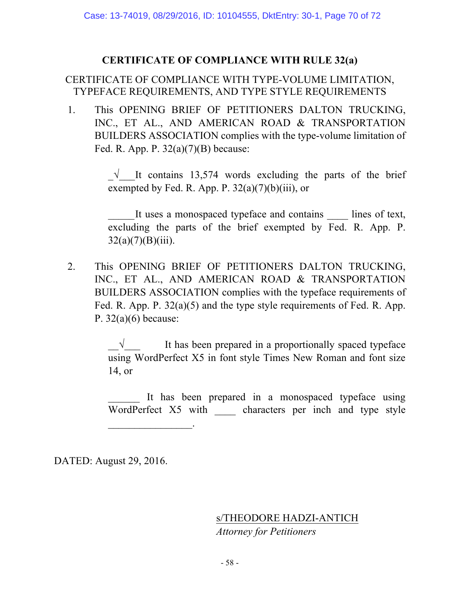## **CERTIFICATE OF COMPLIANCE WITH RULE 32(a)**

# CERTIFICATE OF COMPLIANCE WITH TYPE-VOLUME LIMITATION, TYPEFACE REQUIREMENTS, AND TYPE STYLE REQUIREMENTS

1. This OPENING BRIEF OF PETITIONERS DALTON TRUCKING, INC., ET AL., AND AMERICAN ROAD & TRANSPORTATION BUILDERS ASSOCIATION complies with the type-volume limitation of Fed. R. App. P.  $32(a)(7)(B)$  because:

> $\sqrt{\frac{1}{\pi}}$  It contains 13,574 words excluding the parts of the brief exempted by Fed. R. App. P.  $32(a)(7)(b)(iii)$ , or

> It uses a monospaced typeface and contains lines of text, excluding the parts of the brief exempted by Fed. R. App. P.  $32(a)(7)(B)(iii)$ .

2. This OPENING BRIEF OF PETITIONERS DALTON TRUCKING, INC., ET AL., AND AMERICAN ROAD & TRANSPORTATION BUILDERS ASSOCIATION complies with the typeface requirements of Fed. R. App. P. 32(a)(5) and the type style requirements of Fed. R. App. P.  $32(a)(6)$  because:

> $\sqrt{\frac{1}{\sqrt{1-\lambda}}}$  It has been prepared in a proportionally spaced typeface using WordPerfect X5 in font style Times New Roman and font size 14, or

> It has been prepared in a monospaced typeface using WordPerfect X5 with characters per inch and type style

DATED: August 29, 2016.

 $\mathcal{L}_\text{max}$ 

s/THEODORE HADZI-ANTICH *Attorney for Petitioners*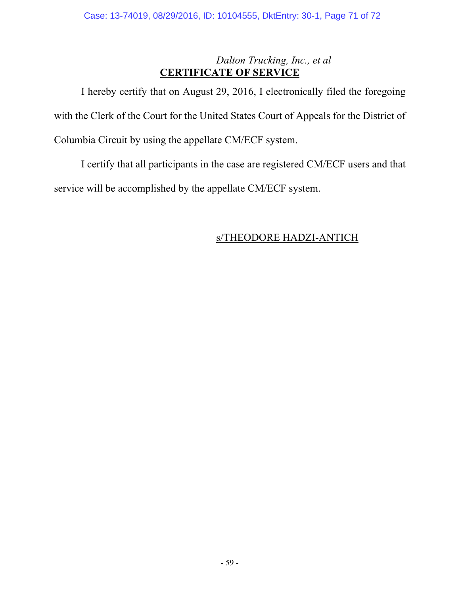# *Dalton Trucking, Inc., et al* **CERTIFICATE OF SERVICE**

I hereby certify that on August 29, 2016, I electronically filed the foregoing with the Clerk of the Court for the United States Court of Appeals for the District of Columbia Circuit by using the appellate CM/ECF system.

I certify that all participants in the case are registered CM/ECF users and that service will be accomplished by the appellate CM/ECF system.

# s/THEODORE HADZI-ANTICH